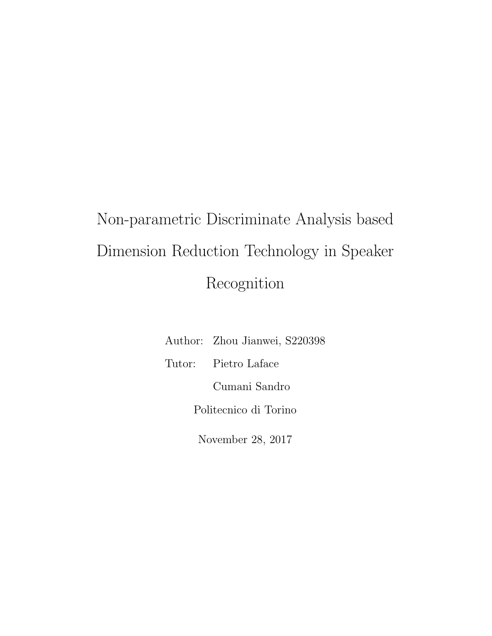# Non-parametric Discriminate Analysis based Dimension Reduction Technology in Speaker Recognition

|                       | Author: Zhou Jianwei, S220398 |  |  |  |  |
|-----------------------|-------------------------------|--|--|--|--|
|                       | Tutor: Pietro Laface          |  |  |  |  |
| Cumani Sandro         |                               |  |  |  |  |
| Politecnico di Torino |                               |  |  |  |  |
| November 28, 2017     |                               |  |  |  |  |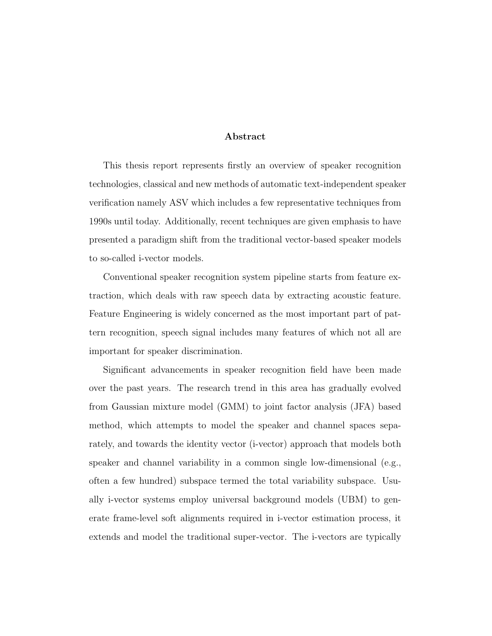#### Abstract

This thesis report represents firstly an overview of speaker recognition technologies, classical and new methods of automatic text-independent speaker verification namely ASV which includes a few representative techniques from 1990s until today. Additionally, recent techniques are given emphasis to have presented a paradigm shift from the traditional vector-based speaker models to so-called i-vector models.

Conventional speaker recognition system pipeline starts from feature extraction, which deals with raw speech data by extracting acoustic feature. Feature Engineering is widely concerned as the most important part of pattern recognition, speech signal includes many features of which not all are important for speaker discrimination.

Significant advancements in speaker recognition field have been made over the past years. The research trend in this area has gradually evolved from Gaussian mixture model (GMM) to joint factor analysis (JFA) based method, which attempts to model the speaker and channel spaces separately, and towards the identity vector (i-vector) approach that models both speaker and channel variability in a common single low-dimensional (e.g., often a few hundred) subspace termed the total variability subspace. Usually i-vector systems employ universal background models (UBM) to generate frame-level soft alignments required in i-vector estimation process, it extends and model the traditional super-vector. The i-vectors are typically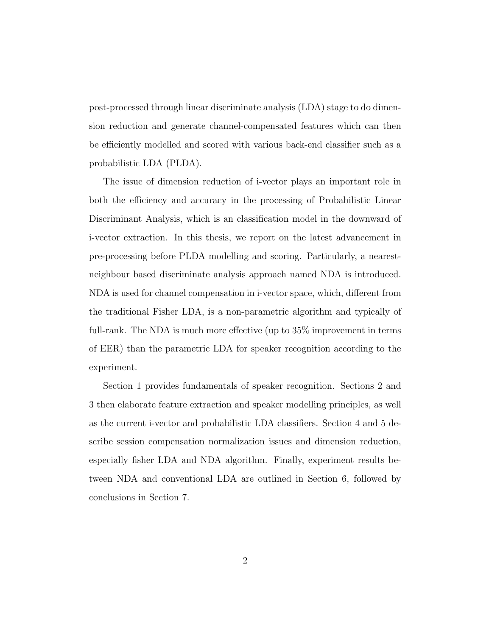post-processed through linear discriminate analysis (LDA) stage to do dimension reduction and generate channel-compensated features which can then be efficiently modelled and scored with various back-end classifier such as a probabilistic LDA (PLDA).

The issue of dimension reduction of i-vector plays an important role in both the efficiency and accuracy in the processing of Probabilistic Linear Discriminant Analysis, which is an classification model in the downward of i-vector extraction. In this thesis, we report on the latest advancement in pre-processing before PLDA modelling and scoring. Particularly, a nearestneighbour based discriminate analysis approach named NDA is introduced. NDA is used for channel compensation in i-vector space, which, different from the traditional Fisher LDA, is a non-parametric algorithm and typically of full-rank. The NDA is much more effective (up to 35% improvement in terms of EER) than the parametric LDA for speaker recognition according to the experiment.

Section 1 provides fundamentals of speaker recognition. Sections 2 and 3 then elaborate feature extraction and speaker modelling principles, as well as the current i-vector and probabilistic LDA classifiers. Section 4 and 5 describe session compensation normalization issues and dimension reduction, especially fisher LDA and NDA algorithm. Finally, experiment results between NDA and conventional LDA are outlined in Section 6, followed by conclusions in Section 7.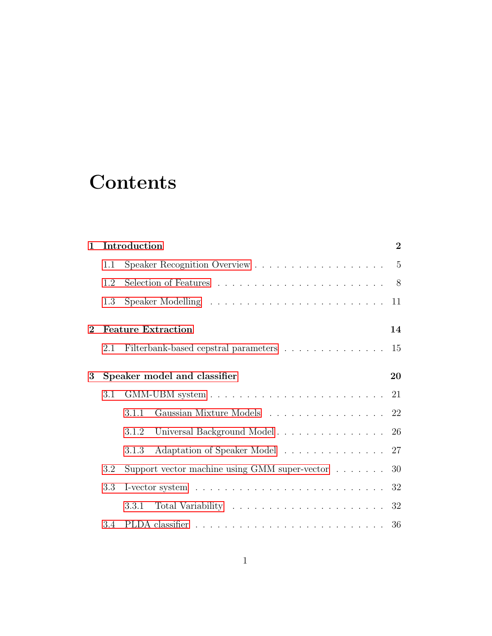# **Contents**

| $\mathbf{1}$ |     | Introduction                                                                        | $\overline{2}$ |  |  |  |  |  |
|--------------|-----|-------------------------------------------------------------------------------------|----------------|--|--|--|--|--|
|              | 1.1 |                                                                                     |                |  |  |  |  |  |
|              | 1.2 | Selection of Features $\ldots \ldots \ldots \ldots \ldots \ldots \ldots$            |                |  |  |  |  |  |
|              | 1.3 |                                                                                     | 11             |  |  |  |  |  |
| $\bf{2}$     |     | <b>Feature Extraction</b><br>14                                                     |                |  |  |  |  |  |
|              | 2.1 | Filterbank-based cepstral parameters                                                | 15             |  |  |  |  |  |
| 3            |     | Speaker model and classifier<br>20                                                  |                |  |  |  |  |  |
|              | 3.1 | GMM-UBM system $\ldots \ldots \ldots \ldots \ldots \ldots \ldots \ldots 21$         |                |  |  |  |  |  |
|              |     | Gaussian Mixture Models 22<br>3.1.1                                                 |                |  |  |  |  |  |
|              |     | 3.1.2                                                                               |                |  |  |  |  |  |
|              |     | Adaptation of Speaker Model 27<br>3.1.3                                             |                |  |  |  |  |  |
|              | 3.2 | Support vector machine using GMM super-vector $\dots \dots$ 30                      |                |  |  |  |  |  |
|              | 3.3 | I-vector system $\ldots \ldots \ldots \ldots \ldots \ldots \ldots \ldots \ldots 32$ |                |  |  |  |  |  |
|              |     | Total Variability $\ldots \ldots \ldots \ldots \ldots \ldots \ldots 32$<br>3.3.1    |                |  |  |  |  |  |
|              | 3.4 |                                                                                     |                |  |  |  |  |  |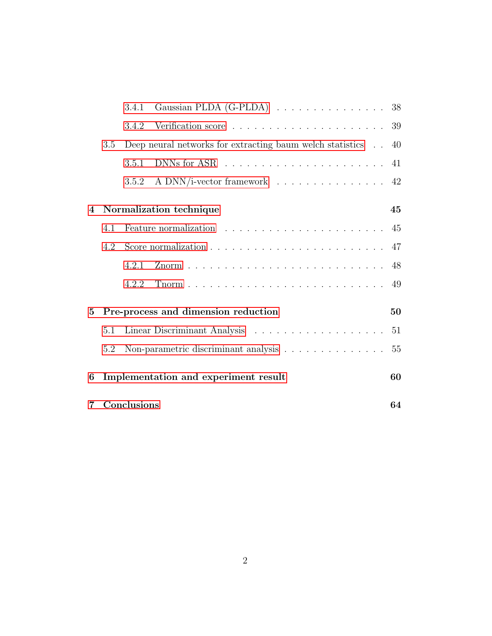|                |                   | 3.4.1 | Gaussian PLDA (G-PLDA) 38                                 |    |  |
|----------------|-------------------|-------|-----------------------------------------------------------|----|--|
|                |                   | 3.4.2 |                                                           | 39 |  |
|                | 3.5               |       | Deep neural networks for extracting baum welch statistics | 40 |  |
|                |                   | 3.5.1 |                                                           | 41 |  |
|                |                   | 3.5.2 | A DNN/i-vector framework                                  | 42 |  |
| $\overline{4}$ |                   |       | Normalization technique                                   | 45 |  |
|                | 4.1               |       |                                                           |    |  |
|                | 4.2               |       |                                                           | 47 |  |
|                |                   | 4.2.1 |                                                           | 48 |  |
|                |                   | 4.2.2 |                                                           | 49 |  |
| 5              |                   |       | Pre-process and dimension reduction                       | 50 |  |
|                | 5.1               |       |                                                           | 51 |  |
|                | 5.2               |       | Non-parametric discriminant analysis                      | 55 |  |
| 6              |                   |       | Implementation and experiment result                      | 60 |  |
| 7              | Conclusions<br>64 |       |                                                           |    |  |
|                |                   |       |                                                           |    |  |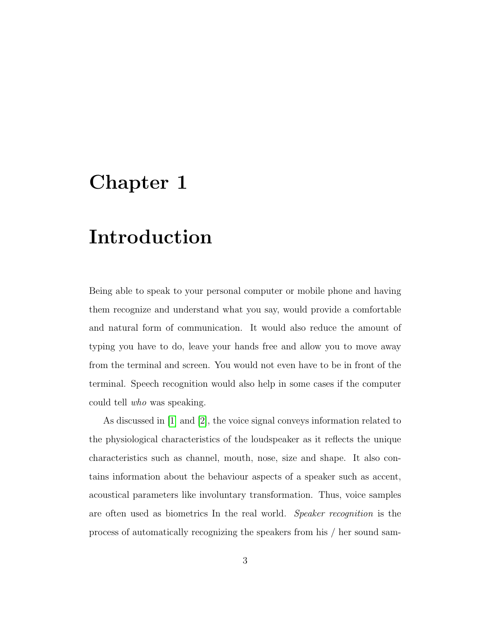## <span id="page-5-0"></span>Chapter 1

# Introduction

Being able to speak to your personal computer or mobile phone and having them recognize and understand what you say, would provide a comfortable and natural form of communication. It would also reduce the amount of typing you have to do, leave your hands free and allow you to move away from the terminal and screen. You would not even have to be in front of the terminal. Speech recognition would also help in some cases if the computer could tell who was speaking.

As discussed in [\[1\]](#page-68-0) and [\[2\]](#page-68-1), the voice signal conveys information related to the physiological characteristics of the loudspeaker as it reflects the unique characteristics such as channel, mouth, nose, size and shape. It also contains information about the behaviour aspects of a speaker such as accent, acoustical parameters like involuntary transformation. Thus, voice samples are often used as biometrics In the real world. Speaker recognition is the process of automatically recognizing the speakers from his / her sound sam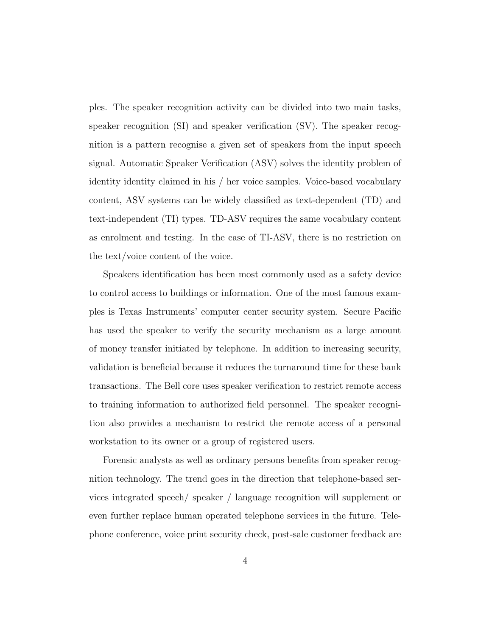ples. The speaker recognition activity can be divided into two main tasks, speaker recognition (SI) and speaker verification (SV). The speaker recognition is a pattern recognise a given set of speakers from the input speech signal. Automatic Speaker Verification (ASV) solves the identity problem of identity identity claimed in his / her voice samples. Voice-based vocabulary content, ASV systems can be widely classified as text-dependent (TD) and text-independent (TI) types. TD-ASV requires the same vocabulary content as enrolment and testing. In the case of TI-ASV, there is no restriction on the text/voice content of the voice.

Speakers identification has been most commonly used as a safety device to control access to buildings or information. One of the most famous examples is Texas Instruments' computer center security system. Secure Pacific has used the speaker to verify the security mechanism as a large amount of money transfer initiated by telephone. In addition to increasing security, validation is beneficial because it reduces the turnaround time for these bank transactions. The Bell core uses speaker verification to restrict remote access to training information to authorized field personnel. The speaker recognition also provides a mechanism to restrict the remote access of a personal workstation to its owner or a group of registered users.

Forensic analysts as well as ordinary persons benefits from speaker recognition technology. The trend goes in the direction that telephone-based services integrated speech/ speaker / language recognition will supplement or even further replace human operated telephone services in the future. Telephone conference, voice print security check, post-sale customer feedback are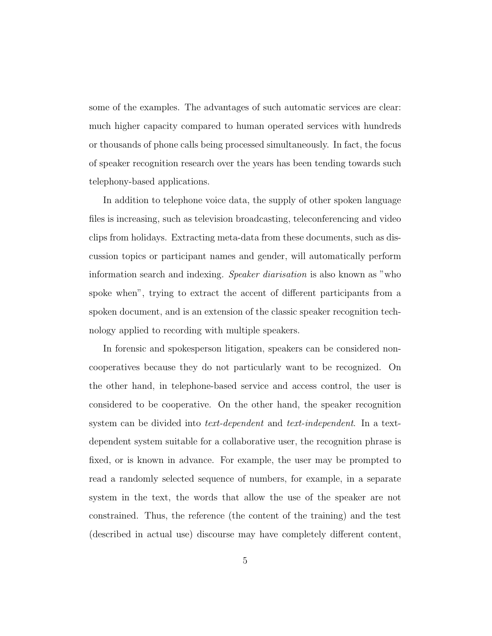some of the examples. The advantages of such automatic services are clear: much higher capacity compared to human operated services with hundreds or thousands of phone calls being processed simultaneously. In fact, the focus of speaker recognition research over the years has been tending towards such telephony-based applications.

In addition to telephone voice data, the supply of other spoken language files is increasing, such as television broadcasting, teleconferencing and video clips from holidays. Extracting meta-data from these documents, such as discussion topics or participant names and gender, will automatically perform information search and indexing. Speaker diarisation is also known as "who spoke when", trying to extract the accent of different participants from a spoken document, and is an extension of the classic speaker recognition technology applied to recording with multiple speakers.

In forensic and spokesperson litigation, speakers can be considered noncooperatives because they do not particularly want to be recognized. On the other hand, in telephone-based service and access control, the user is considered to be cooperative. On the other hand, the speaker recognition system can be divided into *text-dependent* and *text-independent*. In a textdependent system suitable for a collaborative user, the recognition phrase is fixed, or is known in advance. For example, the user may be prompted to read a randomly selected sequence of numbers, for example, in a separate system in the text, the words that allow the use of the speaker are not constrained. Thus, the reference (the content of the training) and the test (described in actual use) discourse may have completely different content,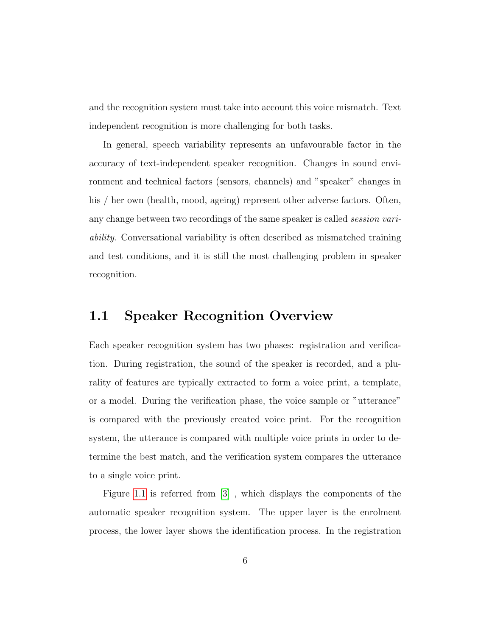and the recognition system must take into account this voice mismatch. Text independent recognition is more challenging for both tasks.

In general, speech variability represents an unfavourable factor in the accuracy of text-independent speaker recognition. Changes in sound environment and technical factors (sensors, channels) and "speaker" changes in his / her own (health, mood, ageing) represent other adverse factors. Often, any change between two recordings of the same speaker is called session variability. Conversational variability is often described as mismatched training and test conditions, and it is still the most challenging problem in speaker recognition.

### <span id="page-8-0"></span>1.1 Speaker Recognition Overview

Each speaker recognition system has two phases: registration and verification. During registration, the sound of the speaker is recorded, and a plurality of features are typically extracted to form a voice print, a template, or a model. During the verification phase, the voice sample or "utterance" is compared with the previously created voice print. For the recognition system, the utterance is compared with multiple voice prints in order to determine the best match, and the verification system compares the utterance to a single voice print.

Figure [1.1](#page-9-0) is referred from [\[3\]](#page-68-2) , which displays the components of the automatic speaker recognition system. The upper layer is the enrolment process, the lower layer shows the identification process. In the registration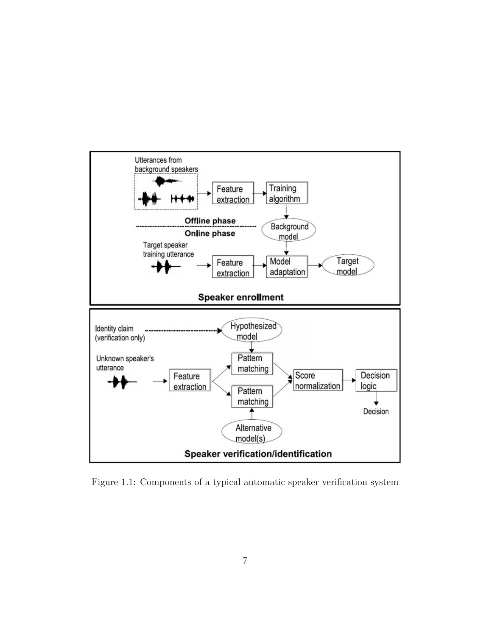<span id="page-9-0"></span>

Figure 1.1: Components of a typical automatic speaker verification system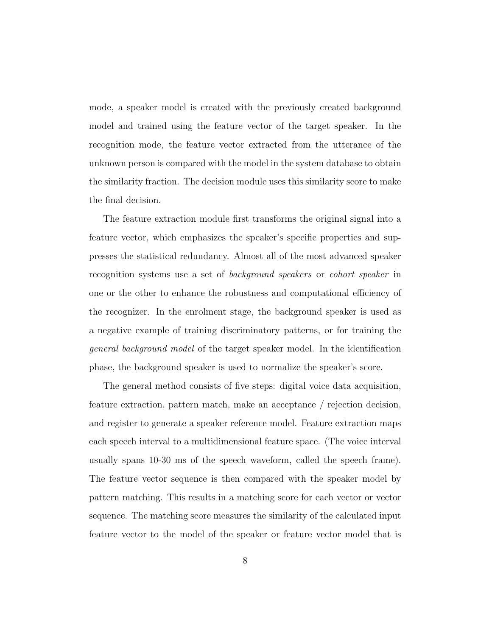mode, a speaker model is created with the previously created background model and trained using the feature vector of the target speaker. In the recognition mode, the feature vector extracted from the utterance of the unknown person is compared with the model in the system database to obtain the similarity fraction. The decision module uses this similarity score to make the final decision.

The feature extraction module first transforms the original signal into a feature vector, which emphasizes the speaker's specific properties and suppresses the statistical redundancy. Almost all of the most advanced speaker recognition systems use a set of *background speakers* or *cohort speaker* in one or the other to enhance the robustness and computational efficiency of the recognizer. In the enrolment stage, the background speaker is used as a negative example of training discriminatory patterns, or for training the general background model of the target speaker model. In the identification phase, the background speaker is used to normalize the speaker's score.

The general method consists of five steps: digital voice data acquisition, feature extraction, pattern match, make an acceptance / rejection decision, and register to generate a speaker reference model. Feature extraction maps each speech interval to a multidimensional feature space. (The voice interval usually spans 10-30 ms of the speech waveform, called the speech frame). The feature vector sequence is then compared with the speaker model by pattern matching. This results in a matching score for each vector or vector sequence. The matching score measures the similarity of the calculated input feature vector to the model of the speaker or feature vector model that is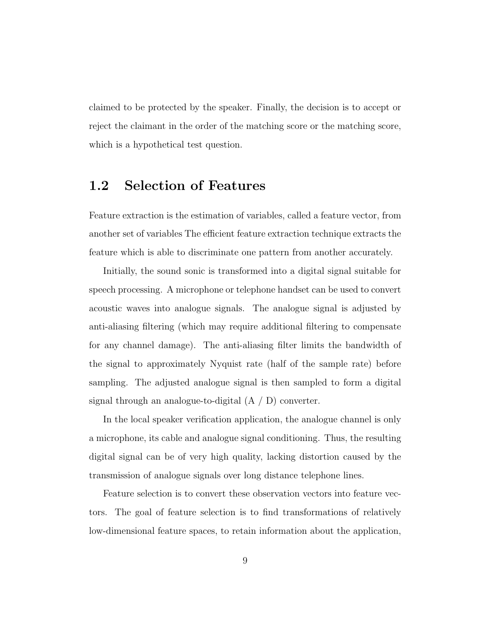claimed to be protected by the speaker. Finally, the decision is to accept or reject the claimant in the order of the matching score or the matching score, which is a hypothetical test question.

### <span id="page-11-0"></span>1.2 Selection of Features

Feature extraction is the estimation of variables, called a feature vector, from another set of variables The efficient feature extraction technique extracts the feature which is able to discriminate one pattern from another accurately.

Initially, the sound sonic is transformed into a digital signal suitable for speech processing. A microphone or telephone handset can be used to convert acoustic waves into analogue signals. The analogue signal is adjusted by anti-aliasing filtering (which may require additional filtering to compensate for any channel damage). The anti-aliasing filter limits the bandwidth of the signal to approximately Nyquist rate (half of the sample rate) before sampling. The adjusted analogue signal is then sampled to form a digital signal through an analogue-to-digital (A / D) converter.

In the local speaker verification application, the analogue channel is only a microphone, its cable and analogue signal conditioning. Thus, the resulting digital signal can be of very high quality, lacking distortion caused by the transmission of analogue signals over long distance telephone lines.

Feature selection is to convert these observation vectors into feature vectors. The goal of feature selection is to find transformations of relatively low-dimensional feature spaces, to retain information about the application,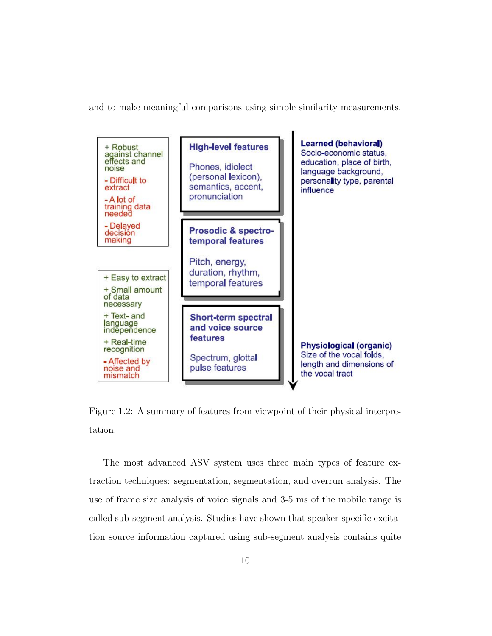and to make meaningful comparisons using simple similarity measurements.



Figure 1.2: A summary of features from viewpoint of their physical interpretation.

The most advanced ASV system uses three main types of feature extraction techniques: segmentation, segmentation, and overrun analysis. The use of frame size analysis of voice signals and 3-5 ms of the mobile range is called sub-segment analysis. Studies have shown that speaker-specific excitation source information captured using sub-segment analysis contains quite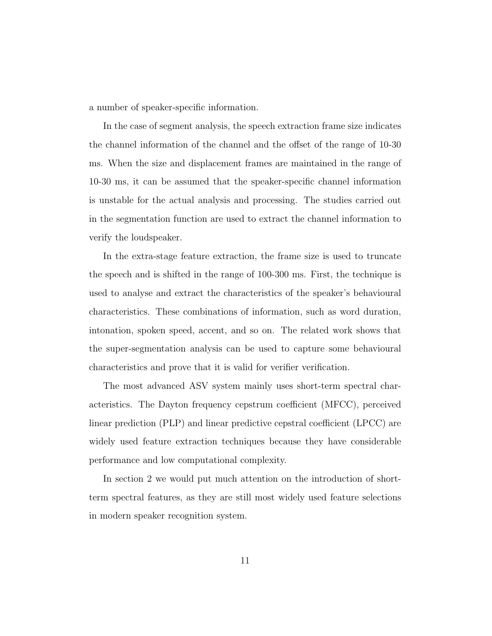a number of speaker-specific information.

In the case of segment analysis, the speech extraction frame size indicates the channel information of the channel and the offset of the range of 10-30 ms. When the size and displacement frames are maintained in the range of 10-30 ms, it can be assumed that the speaker-specific channel information is unstable for the actual analysis and processing. The studies carried out in the segmentation function are used to extract the channel information to verify the loudspeaker.

In the extra-stage feature extraction, the frame size is used to truncate the speech and is shifted in the range of 100-300 ms. First, the technique is used to analyse and extract the characteristics of the speaker's behavioural characteristics. These combinations of information, such as word duration, intonation, spoken speed, accent, and so on. The related work shows that the super-segmentation analysis can be used to capture some behavioural characteristics and prove that it is valid for verifier verification.

The most advanced ASV system mainly uses short-term spectral characteristics. The Dayton frequency cepstrum coefficient (MFCC), perceived linear prediction (PLP) and linear predictive cepstral coefficient (LPCC) are widely used feature extraction techniques because they have considerable performance and low computational complexity.

<span id="page-13-0"></span>In section 2 we would put much attention on the introduction of shortterm spectral features, as they are still most widely used feature selections in modern speaker recognition system.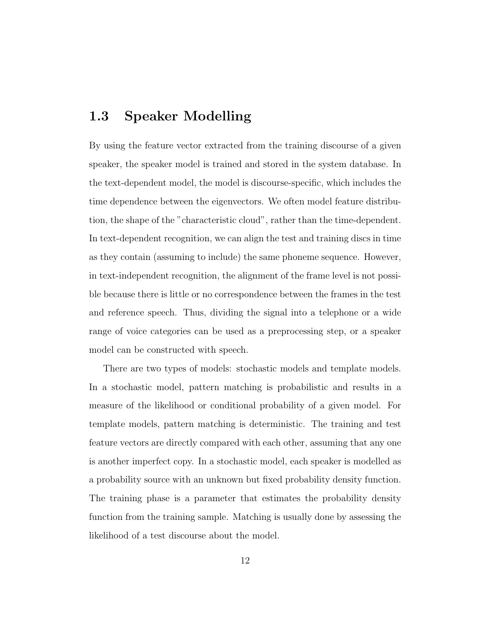### 1.3 Speaker Modelling

By using the feature vector extracted from the training discourse of a given speaker, the speaker model is trained and stored in the system database. In the text-dependent model, the model is discourse-specific, which includes the time dependence between the eigenvectors. We often model feature distribution, the shape of the "characteristic cloud", rather than the time-dependent. In text-dependent recognition, we can align the test and training discs in time as they contain (assuming to include) the same phoneme sequence. However, in text-independent recognition, the alignment of the frame level is not possible because there is little or no correspondence between the frames in the test and reference speech. Thus, dividing the signal into a telephone or a wide range of voice categories can be used as a preprocessing step, or a speaker model can be constructed with speech.

There are two types of models: stochastic models and template models. In a stochastic model, pattern matching is probabilistic and results in a measure of the likelihood or conditional probability of a given model. For template models, pattern matching is deterministic. The training and test feature vectors are directly compared with each other, assuming that any one is another imperfect copy. In a stochastic model, each speaker is modelled as a probability source with an unknown but fixed probability density function. The training phase is a parameter that estimates the probability density function from the training sample. Matching is usually done by assessing the likelihood of a test discourse about the model.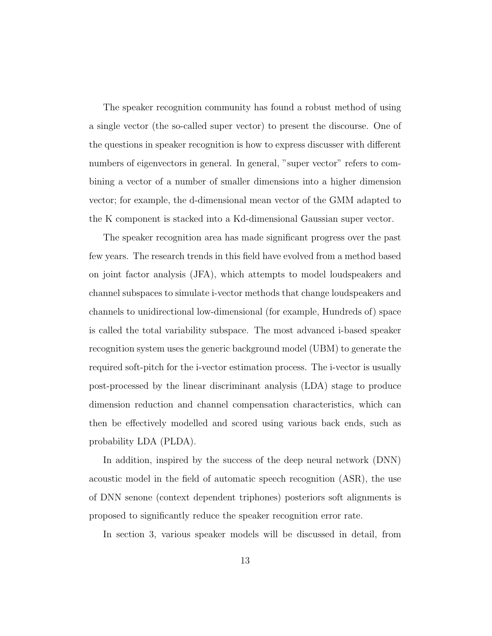The speaker recognition community has found a robust method of using a single vector (the so-called super vector) to present the discourse. One of the questions in speaker recognition is how to express discusser with different numbers of eigenvectors in general. In general, "super vector" refers to combining a vector of a number of smaller dimensions into a higher dimension vector; for example, the d-dimensional mean vector of the GMM adapted to the K component is stacked into a Kd-dimensional Gaussian super vector.

The speaker recognition area has made significant progress over the past few years. The research trends in this field have evolved from a method based on joint factor analysis (JFA), which attempts to model loudspeakers and channel subspaces to simulate i-vector methods that change loudspeakers and channels to unidirectional low-dimensional (for example, Hundreds of) space is called the total variability subspace. The most advanced i-based speaker recognition system uses the generic background model (UBM) to generate the required soft-pitch for the i-vector estimation process. The i-vector is usually post-processed by the linear discriminant analysis (LDA) stage to produce dimension reduction and channel compensation characteristics, which can then be effectively modelled and scored using various back ends, such as probability LDA (PLDA).

In addition, inspired by the success of the deep neural network (DNN) acoustic model in the field of automatic speech recognition (ASR), the use of DNN senone (context dependent triphones) posteriors soft alignments is proposed to significantly reduce the speaker recognition error rate.

In section 3, various speaker models will be discussed in detail, from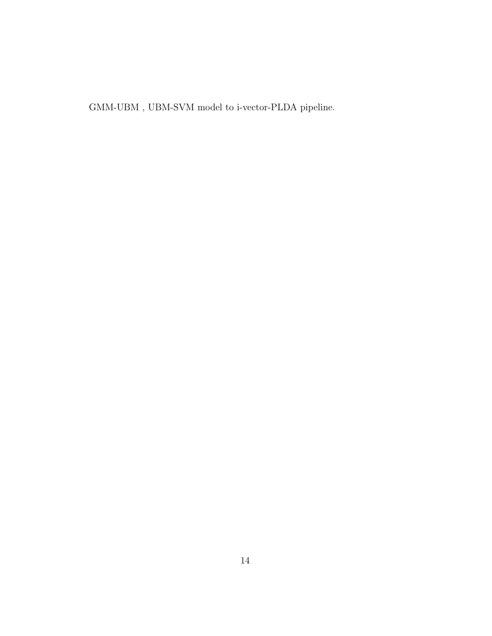$\operatorname{GMM-UBM}$  ,  $\operatorname{UBM-SVM}$  model to i-vector-PLDA pipeline.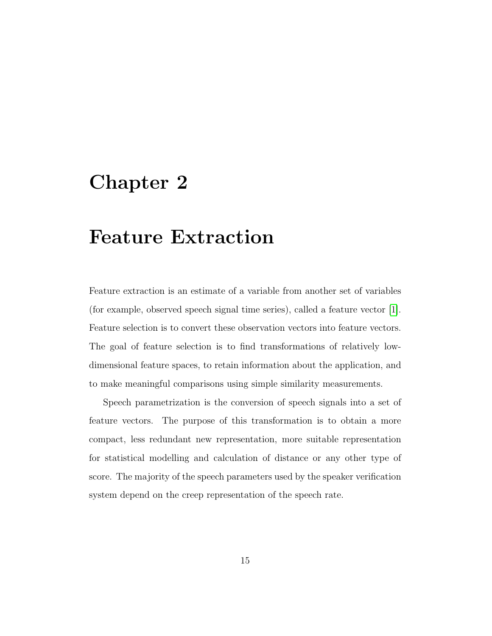### <span id="page-17-0"></span>Chapter 2

## Feature Extraction

Feature extraction is an estimate of a variable from another set of variables (for example, observed speech signal time series), called a feature vector [\[1\]](#page-68-0). Feature selection is to convert these observation vectors into feature vectors. The goal of feature selection is to find transformations of relatively lowdimensional feature spaces, to retain information about the application, and to make meaningful comparisons using simple similarity measurements.

<span id="page-17-1"></span>Speech parametrization is the conversion of speech signals into a set of feature vectors. The purpose of this transformation is to obtain a more compact, less redundant new representation, more suitable representation for statistical modelling and calculation of distance or any other type of score. The majority of the speech parameters used by the speaker verification system depend on the creep representation of the speech rate.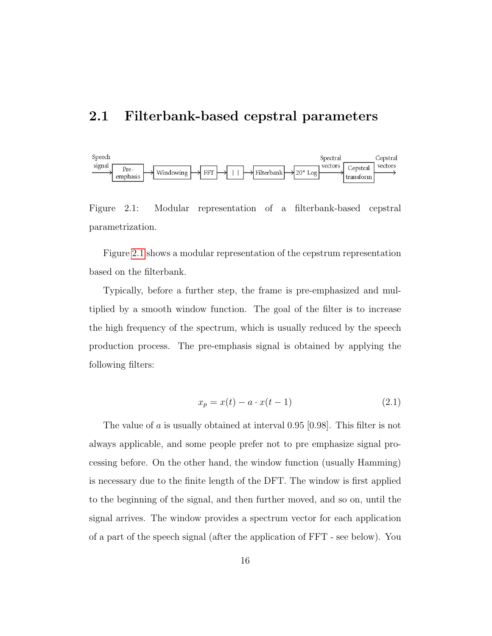### 2.1 Filterbank-based cepstral parameters

<span id="page-18-0"></span>

Figure 2.1: Modular representation of a filterbank-based cepstral parametrization.

Figure [2.1](#page-18-0) shows a modular representation of the cepstrum representation based on the filterbank.

Typically, before a further step, the frame is pre-emphasized and multiplied by a smooth window function. The goal of the filter is to increase the high frequency of the spectrum, which is usually reduced by the speech production process. The pre-emphasis signal is obtained by applying the following filters:

$$
x_p = x(t) - a \cdot x(t-1) \tag{2.1}
$$

The value of a is usually obtained at interval 0.95 [0.98]. This filter is not always applicable, and some people prefer not to pre emphasize signal processing before. On the other hand, the window function (usually Hamming) is necessary due to the finite length of the DFT. The window is first applied to the beginning of the signal, and then further moved, and so on, until the signal arrives. The window provides a spectrum vector for each application of a part of the speech signal (after the application of FFT - see below). You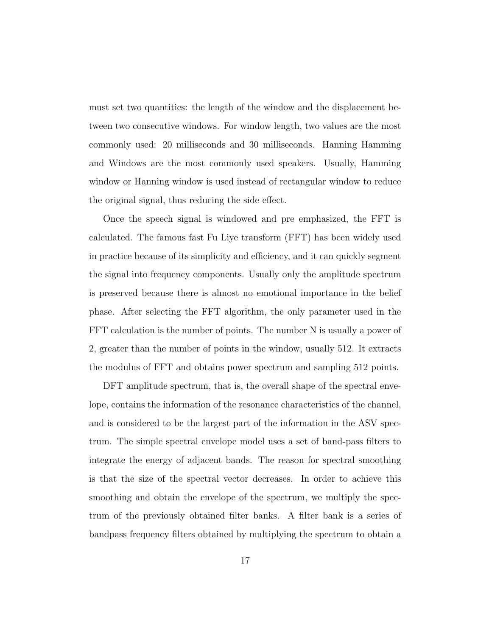must set two quantities: the length of the window and the displacement between two consecutive windows. For window length, two values are the most commonly used: 20 milliseconds and 30 milliseconds. Hanning Hamming and Windows are the most commonly used speakers. Usually, Hamming window or Hanning window is used instead of rectangular window to reduce the original signal, thus reducing the side effect.

Once the speech signal is windowed and pre emphasized, the FFT is calculated. The famous fast Fu Liye transform (FFT) has been widely used in practice because of its simplicity and efficiency, and it can quickly segment the signal into frequency components. Usually only the amplitude spectrum is preserved because there is almost no emotional importance in the belief phase. After selecting the FFT algorithm, the only parameter used in the FFT calculation is the number of points. The number N is usually a power of 2, greater than the number of points in the window, usually 512. It extracts the modulus of FFT and obtains power spectrum and sampling 512 points.

DFT amplitude spectrum, that is, the overall shape of the spectral envelope, contains the information of the resonance characteristics of the channel, and is considered to be the largest part of the information in the ASV spectrum. The simple spectral envelope model uses a set of band-pass filters to integrate the energy of adjacent bands. The reason for spectral smoothing is that the size of the spectral vector decreases. In order to achieve this smoothing and obtain the envelope of the spectrum, we multiply the spectrum of the previously obtained filter banks. A filter bank is a series of bandpass frequency filters obtained by multiplying the spectrum to obtain a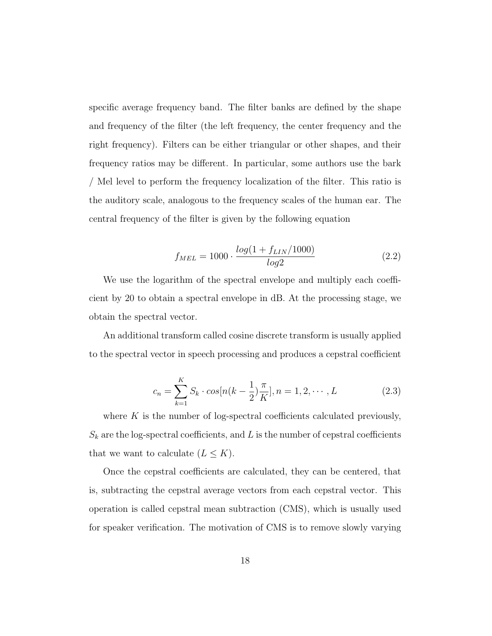specific average frequency band. The filter banks are defined by the shape and frequency of the filter (the left frequency, the center frequency and the right frequency). Filters can be either triangular or other shapes, and their frequency ratios may be different. In particular, some authors use the bark / Mel level to perform the frequency localization of the filter. This ratio is the auditory scale, analogous to the frequency scales of the human ear. The central frequency of the filter is given by the following equation

$$
f_{MEL} = 1000 \cdot \frac{log(1 + f_{LIN}/1000)}{log2}
$$
 (2.2)

We use the logarithm of the spectral envelope and multiply each coefficient by 20 to obtain a spectral envelope in dB. At the processing stage, we obtain the spectral vector.

An additional transform called cosine discrete transform is usually applied to the spectral vector in speech processing and produces a cepstral coefficient

$$
c_n = \sum_{k=1}^{K} S_k \cdot \cos[n(k - \frac{1}{2})\frac{\pi}{K}], n = 1, 2, \cdots, L
$$
 (2.3)

where  $K$  is the number of log-spectral coefficients calculated previously,  $S_k$  are the log-spectral coefficients, and L is the number of cepstral coefficients that we want to calculate  $(L \leq K)$ .

Once the cepstral coefficients are calculated, they can be centered, that is, subtracting the cepstral average vectors from each cepstral vector. This operation is called cepstral mean subtraction (CMS), which is usually used for speaker verification. The motivation of CMS is to remove slowly varying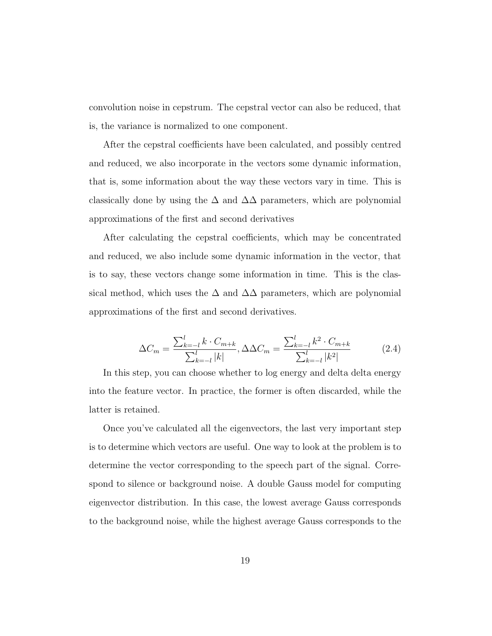convolution noise in cepstrum. The cepstral vector can also be reduced, that is, the variance is normalized to one component.

After the cepstral coefficients have been calculated, and possibly centred and reduced, we also incorporate in the vectors some dynamic information, that is, some information about the way these vectors vary in time. This is classically done by using the  $\Delta$  and  $\Delta\Delta$  parameters, which are polynomial approximations of the first and second derivatives

After calculating the cepstral coefficients, which may be concentrated and reduced, we also include some dynamic information in the vector, that is to say, these vectors change some information in time. This is the classical method, which uses the  $\Delta$  and  $\Delta\Delta$  parameters, which are polynomial approximations of the first and second derivatives.

$$
\Delta C_m = \frac{\sum_{k=-l}^{l} k \cdot C_{m+k}}{\sum_{k=-l}^{l} |k|}, \Delta \Delta C_m = \frac{\sum_{k=-l}^{l} k^2 \cdot C_{m+k}}{\sum_{k=-l}^{l} |k^2|}
$$
(2.4)

In this step, you can choose whether to log energy and delta delta energy into the feature vector. In practice, the former is often discarded, while the latter is retained.

Once you've calculated all the eigenvectors, the last very important step is to determine which vectors are useful. One way to look at the problem is to determine the vector corresponding to the speech part of the signal. Correspond to silence or background noise. A double Gauss model for computing eigenvector distribution. In this case, the lowest average Gauss corresponds to the background noise, while the highest average Gauss corresponds to the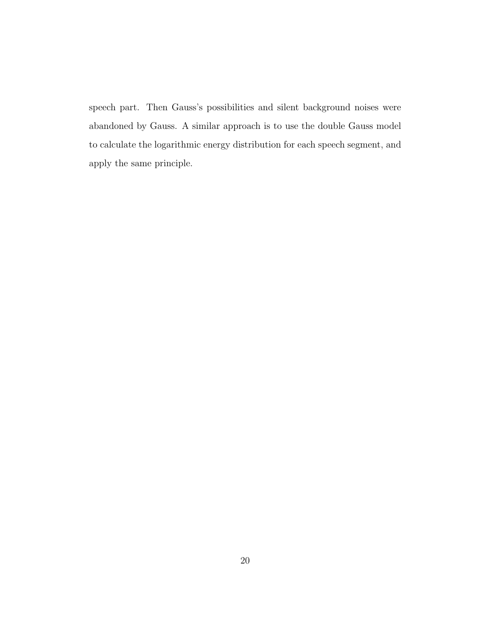speech part. Then Gauss's possibilities and silent background noises were abandoned by Gauss. A similar approach is to use the double Gauss model to calculate the logarithmic energy distribution for each speech segment, and apply the same principle.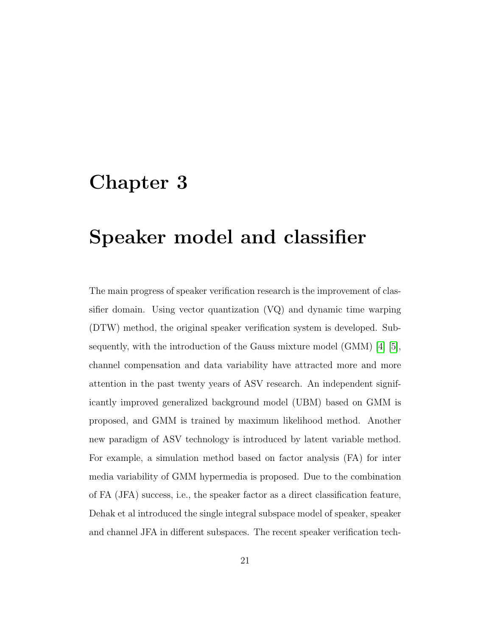### <span id="page-23-0"></span>Chapter 3

# Speaker model and classifier

The main progress of speaker verification research is the improvement of classifier domain. Using vector quantization (VQ) and dynamic time warping (DTW) method, the original speaker verification system is developed. Subsequently, with the introduction of the Gauss mixture model (GMM) [\[4\]](#page-68-3) [\[5\]](#page-68-4), channel compensation and data variability have attracted more and more attention in the past twenty years of ASV research. An independent significantly improved generalized background model (UBM) based on GMM is proposed, and GMM is trained by maximum likelihood method. Another new paradigm of ASV technology is introduced by latent variable method. For example, a simulation method based on factor analysis (FA) for inter media variability of GMM hypermedia is proposed. Due to the combination of FA (JFA) success, i.e., the speaker factor as a direct classification feature, Dehak et al introduced the single integral subspace model of speaker, speaker and channel JFA in different subspaces. The recent speaker verification tech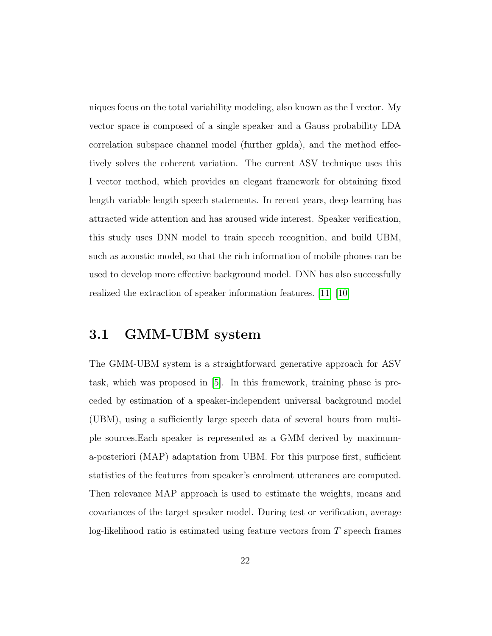niques focus on the total variability modeling, also known as the I vector. My vector space is composed of a single speaker and a Gauss probability LDA correlation subspace channel model (further gplda), and the method effectively solves the coherent variation. The current ASV technique uses this I vector method, which provides an elegant framework for obtaining fixed length variable length speech statements. In recent years, deep learning has attracted wide attention and has aroused wide interest. Speaker verification, this study uses DNN model to train speech recognition, and build UBM, such as acoustic model, so that the rich information of mobile phones can be used to develop more effective background model. DNN has also successfully realized the extraction of speaker information features. [\[11\]](#page-69-0) [\[10\]](#page-69-1)

### <span id="page-24-0"></span>3.1 GMM-UBM system

The GMM-UBM system is a straightforward generative approach for ASV task, which was proposed in [\[5\]](#page-68-4). In this framework, training phase is preceded by estimation of a speaker-independent universal background model (UBM), using a sufficiently large speech data of several hours from multiple sources.Each speaker is represented as a GMM derived by maximuma-posteriori (MAP) adaptation from UBM. For this purpose first, sufficient statistics of the features from speaker's enrolment utterances are computed. Then relevance MAP approach is used to estimate the weights, means and covariances of the target speaker model. During test or verification, average log-likelihood ratio is estimated using feature vectors from  $T$  speech frames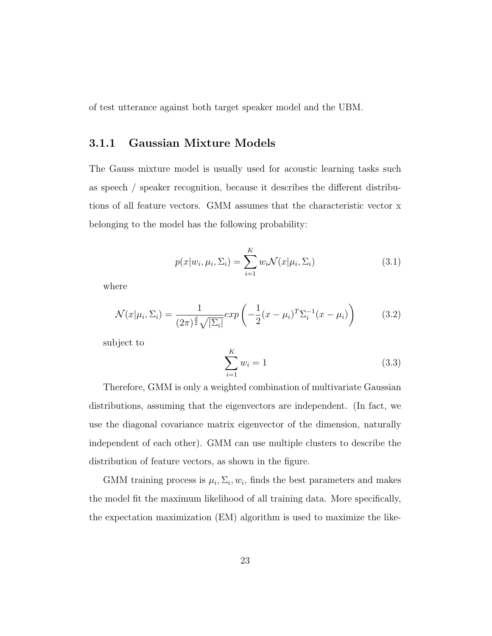<span id="page-25-0"></span>of test utterance against both target speaker model and the UBM.

#### 3.1.1 Gaussian Mixture Models

The Gauss mixture model is usually used for acoustic learning tasks such as speech / speaker recognition, because it describes the different distributions of all feature vectors. GMM assumes that the characteristic vector x belonging to the model has the following probability:

<span id="page-25-1"></span>
$$
p(x|w_i, \mu_i, \Sigma_i) = \sum_{i=1}^{K} w_i \mathcal{N}(x|\mu_i, \Sigma_i)
$$
\n(3.1)

where

$$
\mathcal{N}(x|\mu_i, \Sigma_i) = \frac{1}{(2\pi)^{\frac{d}{2}}\sqrt{|\Sigma_i|}} exp\left(-\frac{1}{2}(x-\mu_i)^T \Sigma_i^{-1} (x-\mu_i)\right) \tag{3.2}
$$

subject to

$$
\sum_{i=1}^{K} w_i = 1
$$
\n(3.3)

Therefore, GMM is only a weighted combination of multivariate Gaussian distributions, assuming that the eigenvectors are independent. (In fact, we use the diagonal covariance matrix eigenvector of the dimension, naturally independent of each other). GMM can use multiple clusters to describe the distribution of feature vectors, as shown in the figure.

GMM training process is  $\mu_i, \Sigma_i, w_i$ , finds the best parameters and makes the model fit the maximum likelihood of all training data. More specifically, the expectation maximization (EM) algorithm is used to maximize the like-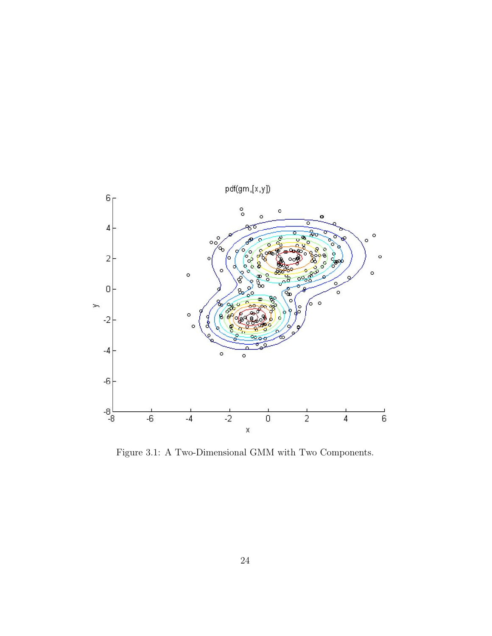

Figure 3.1: A Two-Dimensional GMM with Two Components.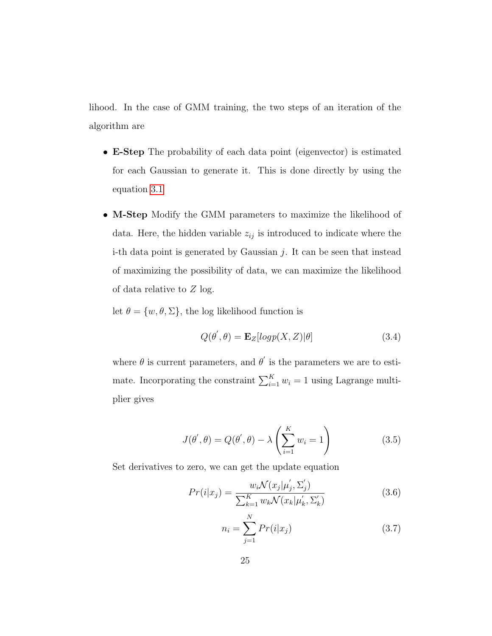lihood. In the case of GMM training, the two steps of an iteration of the algorithm are

- E-Step The probability of each data point (eigenvector) is estimated for each Gaussian to generate it. This is done directly by using the equation [3.1](#page-25-1)
- M-Step Modify the GMM parameters to maximize the likelihood of data. Here, the hidden variable  $z_{ij}$  is introduced to indicate where the i-th data point is generated by Gaussian  $j$ . It can be seen that instead of maximizing the possibility of data, we can maximize the likelihood of data relative to Z log.

let  $\theta = \{w, \theta, \Sigma\}$ , the log likelihood function is

$$
Q(\theta', \theta) = \mathbf{E}_Z [log p(X, Z)|\theta]
$$
\n(3.4)

where  $\theta$  is current parameters, and  $\theta'$  is the parameters we are to estimate. Incorporating the constraint  $\sum_{i=1}^{K} w_i = 1$  using Lagrange multiplier gives

$$
J(\theta', \theta) = Q(\theta', \theta) - \lambda \left(\sum_{i=1}^{K} w_i = 1\right)
$$
 (3.5)

Set derivatives to zero, we can get the update equation

$$
Pr(i|x_j) = \frac{w_i \mathcal{N}(x_j | \mu'_j, \Sigma'_j)}{\sum_{k=1}^K w_k \mathcal{N}(x_k | \mu'_k, \Sigma'_k)}
$$
(3.6)

$$
n_i = \sum_{j=1}^{N} Pr(i|x_j)
$$
 (3.7)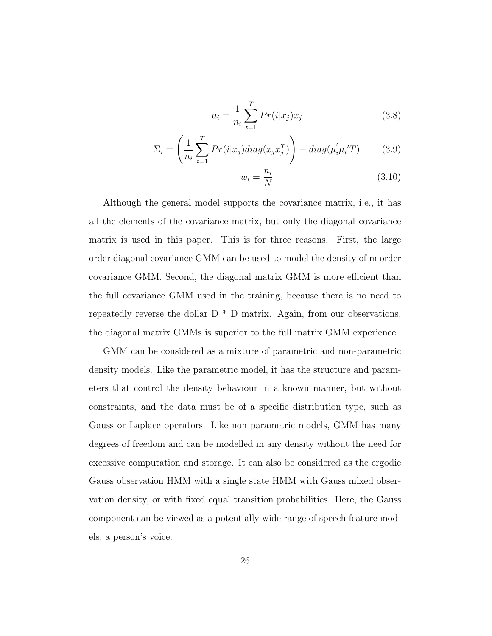$$
\mu_i = \frac{1}{n_i} \sum_{t=1}^{T} Pr(i|x_j) x_j \tag{3.8}
$$

$$
\Sigma_i = \left(\frac{1}{n_i} \sum_{t=1}^T Pr(i|x_j) \operatorname{diag}(x_j x_j^T)\right) - \operatorname{diag}(\mu_i' \mu_i' T) \tag{3.9}
$$

$$
w_i = \frac{n_i}{N} \tag{3.10}
$$

Although the general model supports the covariance matrix, i.e., it has all the elements of the covariance matrix, but only the diagonal covariance matrix is used in this paper. This is for three reasons. First, the large order diagonal covariance GMM can be used to model the density of m order covariance GMM. Second, the diagonal matrix GMM is more efficient than the full covariance GMM used in the training, because there is no need to repeatedly reverse the dollar  $D * D$  matrix. Again, from our observations, the diagonal matrix GMMs is superior to the full matrix GMM experience.

GMM can be considered as a mixture of parametric and non-parametric density models. Like the parametric model, it has the structure and parameters that control the density behaviour in a known manner, but without constraints, and the data must be of a specific distribution type, such as Gauss or Laplace operators. Like non parametric models, GMM has many degrees of freedom and can be modelled in any density without the need for excessive computation and storage. It can also be considered as the ergodic Gauss observation HMM with a single state HMM with Gauss mixed observation density, or with fixed equal transition probabilities. Here, the Gauss component can be viewed as a potentially wide range of speech feature models, a person's voice.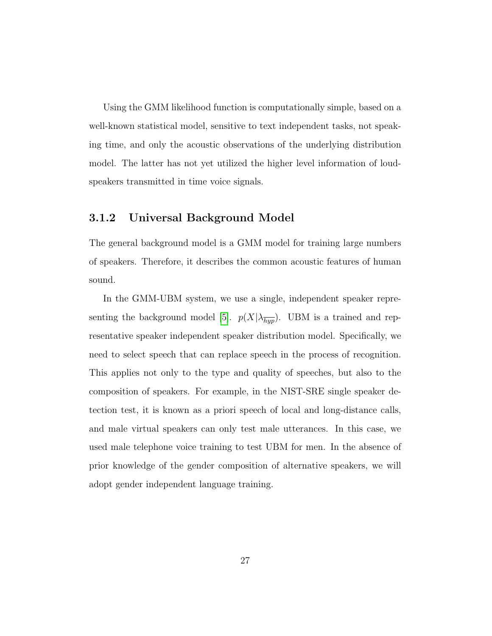Using the GMM likelihood function is computationally simple, based on a well-known statistical model, sensitive to text independent tasks, not speaking time, and only the acoustic observations of the underlying distribution model. The latter has not yet utilized the higher level information of loudspeakers transmitted in time voice signals.

#### <span id="page-29-0"></span>3.1.2 Universal Background Model

The general background model is a GMM model for training large numbers of speakers. Therefore, it describes the common acoustic features of human sound.

<span id="page-29-1"></span>In the GMM-UBM system, we use a single, independent speaker repre-senting the background model [\[5\]](#page-68-4).  $p(X|\lambda_{\overline{hyp}})$ . UBM is a trained and representative speaker independent speaker distribution model. Specifically, we need to select speech that can replace speech in the process of recognition. This applies not only to the type and quality of speeches, but also to the composition of speakers. For example, in the NIST-SRE single speaker detection test, it is known as a priori speech of local and long-distance calls, and male virtual speakers can only test male utterances. In this case, we used male telephone voice training to test UBM for men. In the absence of prior knowledge of the gender composition of alternative speakers, we will adopt gender independent language training.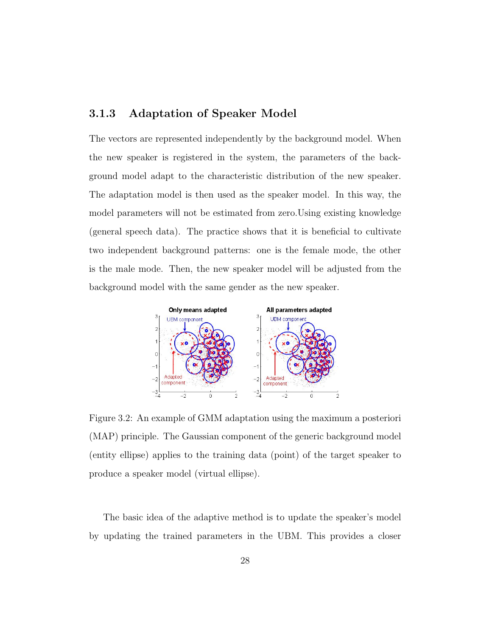#### 3.1.3 Adaptation of Speaker Model

The vectors are represented independently by the background model. When the new speaker is registered in the system, the parameters of the background model adapt to the characteristic distribution of the new speaker. The adaptation model is then used as the speaker model. In this way, the model parameters will not be estimated from zero.Using existing knowledge (general speech data). The practice shows that it is beneficial to cultivate two independent background patterns: one is the female mode, the other is the male mode. Then, the new speaker model will be adjusted from the background model with the same gender as the new speaker.



Figure 3.2: An example of GMM adaptation using the maximum a posteriori (MAP) principle. The Gaussian component of the generic background model (entity ellipse) applies to the training data (point) of the target speaker to produce a speaker model (virtual ellipse).

The basic idea of the adaptive method is to update the speaker's model by updating the trained parameters in the UBM. This provides a closer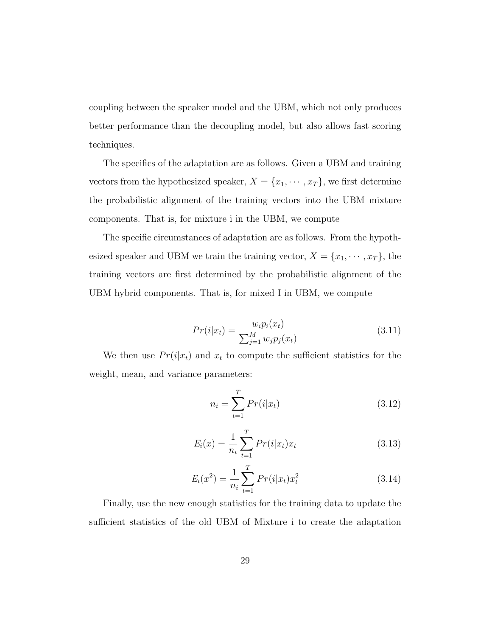coupling between the speaker model and the UBM, which not only produces better performance than the decoupling model, but also allows fast scoring techniques.

The specifics of the adaptation are as follows. Given a UBM and training vectors from the hypothesized speaker,  $X = \{x_1, \dots, x_T\}$ , we first determine the probabilistic alignment of the training vectors into the UBM mixture components. That is, for mixture i in the UBM, we compute

The specific circumstances of adaptation are as follows. From the hypothesized speaker and UBM we train the training vector,  $X = \{x_1, \dots, x_T\}$ , the training vectors are first determined by the probabilistic alignment of the UBM hybrid components. That is, for mixed I in UBM, we compute

$$
Pr(i|x_t) = \frac{w_i p_i(x_t)}{\sum_{j=1}^{M} w_j p_j(x_t)}
$$
(3.11)

We then use  $Pr(i|x_t)$  and  $x_t$  to compute the sufficient statistics for the weight, mean, and variance parameters:

$$
n_i = \sum_{t=1}^{T} Pr(i|x_t)
$$
 (3.12)

$$
E_i(x) = \frac{1}{n_i} \sum_{t=1}^{T} Pr(i|x_t)x_t
$$
\n(3.13)

$$
E_i(x^2) = \frac{1}{n_i} \sum_{t=1}^{T} Pr(i|x_t)x_t^2
$$
\n(3.14)

Finally, use the new enough statistics for the training data to update the sufficient statistics of the old UBM of Mixture i to create the adaptation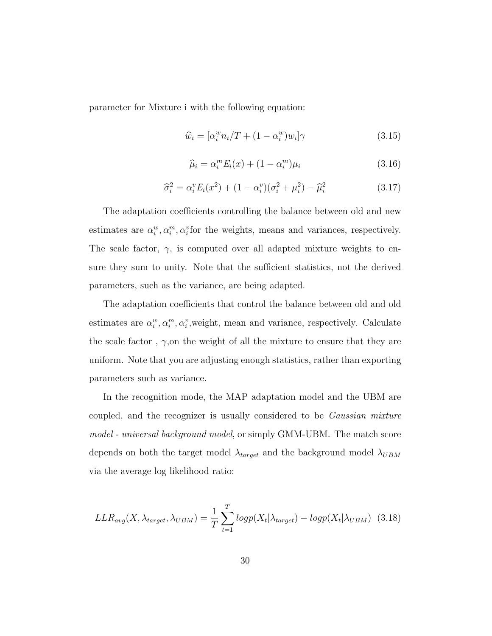parameter for Mixture i with the following equation:

$$
\widehat{w}_i = [\alpha_i^w n_i / T + (1 - \alpha_i^w) w_i] \gamma \tag{3.15}
$$

$$
\widehat{\mu}_i = \alpha_i^m E_i(x) + (1 - \alpha_i^m)\mu_i \tag{3.16}
$$

$$
\hat{\sigma}_i^2 = \alpha_i^v E_i(x^2) + (1 - \alpha_i^v)(\sigma_i^2 + \mu_i^2) - \hat{\mu}_i^2 \tag{3.17}
$$

The adaptation coefficients controlling the balance between old and new estimates are  $\alpha_i^w, \alpha_i^m, \alpha_i^v$  for the weights, means and variances, respectively. The scale factor,  $\gamma$ , is computed over all adapted mixture weights to ensure they sum to unity. Note that the sufficient statistics, not the derived parameters, such as the variance, are being adapted.

The adaptation coefficients that control the balance between old and old estimates are  $\alpha_i^w, \alpha_i^m, \alpha_i^v$ , weight, mean and variance, respectively. Calculate the scale factor,  $\gamma$ , on the weight of all the mixture to ensure that they are uniform. Note that you are adjusting enough statistics, rather than exporting parameters such as variance.

In the recognition mode, the MAP adaptation model and the UBM are coupled, and the recognizer is usually considered to be Gaussian mixture model - universal background model, or simply GMM-UBM. The match score depends on both the target model  $\lambda_{target}$  and the background model  $\lambda_{UBM}$ via the average log likelihood ratio:

$$
LLR_{avg}(X, \lambda_{target}, \lambda_{UBM}) = \frac{1}{T} \sum_{t=1}^{T} logp(X_t | \lambda_{target}) - logp(X_t | \lambda_{UBM})
$$
 (3.18)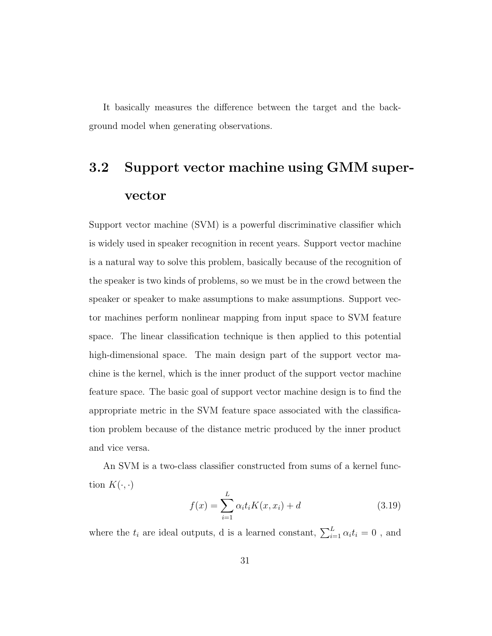<span id="page-33-0"></span>It basically measures the difference between the target and the background model when generating observations.

# 3.2 Support vector machine using GMM supervector

Support vector machine (SVM) is a powerful discriminative classifier which is widely used in speaker recognition in recent years. Support vector machine is a natural way to solve this problem, basically because of the recognition of the speaker is two kinds of problems, so we must be in the crowd between the speaker or speaker to make assumptions to make assumptions. Support vector machines perform nonlinear mapping from input space to SVM feature space. The linear classification technique is then applied to this potential high-dimensional space. The main design part of the support vector machine is the kernel, which is the inner product of the support vector machine feature space. The basic goal of support vector machine design is to find the appropriate metric in the SVM feature space associated with the classification problem because of the distance metric produced by the inner product and vice versa.

An SVM is a two-class classifier constructed from sums of a kernel function  $K(\cdot, \cdot)$ 

$$
f(x) = \sum_{i=1}^{L} \alpha_i t_i K(x, x_i) + d
$$
 (3.19)

where the  $t_i$  are ideal outputs, d is a learned constant,  $\sum_{i=1}^{L} \alpha_i t_i = 0$ , and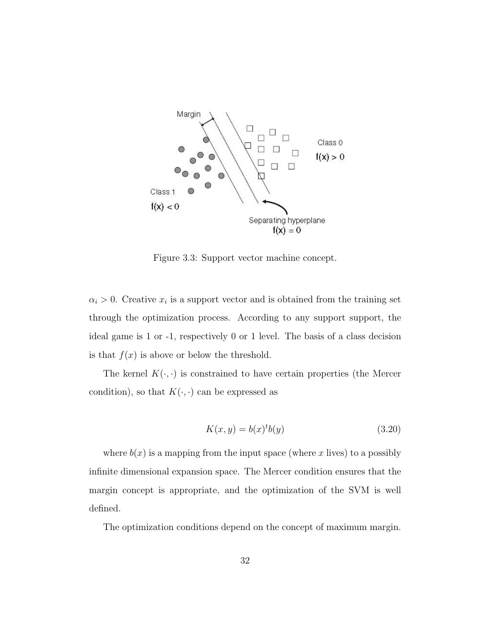

Figure 3.3: Support vector machine concept.

 $\alpha_i > 0$ . Creative  $x_i$  is a support vector and is obtained from the training set through the optimization process. According to any support support, the ideal game is 1 or -1, respectively 0 or 1 level. The basis of a class decision is that  $f(x)$  is above or below the threshold.

The kernel  $K(\cdot, \cdot)$  is constrained to have certain properties (the Mercer condition), so that  $K(\cdot, \cdot)$  can be expressed as

$$
K(x, y) = b(x)^{t}b(y)
$$
\n
$$
(3.20)
$$

where  $b(x)$  is a mapping from the input space (where x lives) to a possibly infinite dimensional expansion space. The Mercer condition ensures that the margin concept is appropriate, and the optimization of the SVM is well defined.

The optimization conditions depend on the concept of maximum margin.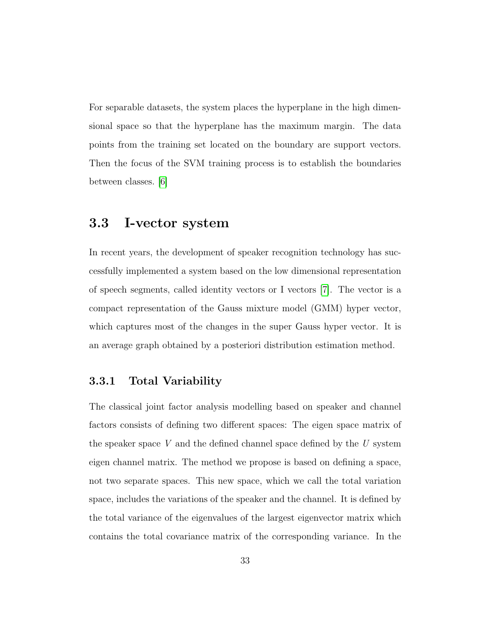For separable datasets, the system places the hyperplane in the high dimensional space so that the hyperplane has the maximum margin. The data points from the training set located on the boundary are support vectors. Then the focus of the SVM training process is to establish the boundaries between classes. [\[6\]](#page-68-5)

### <span id="page-35-0"></span>3.3 I-vector system

In recent years, the development of speaker recognition technology has successfully implemented a system based on the low dimensional representation of speech segments, called identity vectors or I vectors [\[7\]](#page-69-2). The vector is a compact representation of the Gauss mixture model (GMM) hyper vector, which captures most of the changes in the super Gauss hyper vector. It is an average graph obtained by a posteriori distribution estimation method.

#### <span id="page-35-1"></span>3.3.1 Total Variability

The classical joint factor analysis modelling based on speaker and channel factors consists of defining two different spaces: The eigen space matrix of the speaker space  $V$  and the defined channel space defined by the  $U$  system eigen channel matrix. The method we propose is based on defining a space, not two separate spaces. This new space, which we call the total variation space, includes the variations of the speaker and the channel. It is defined by the total variance of the eigenvalues of the largest eigenvector matrix which contains the total covariance matrix of the corresponding variance. In the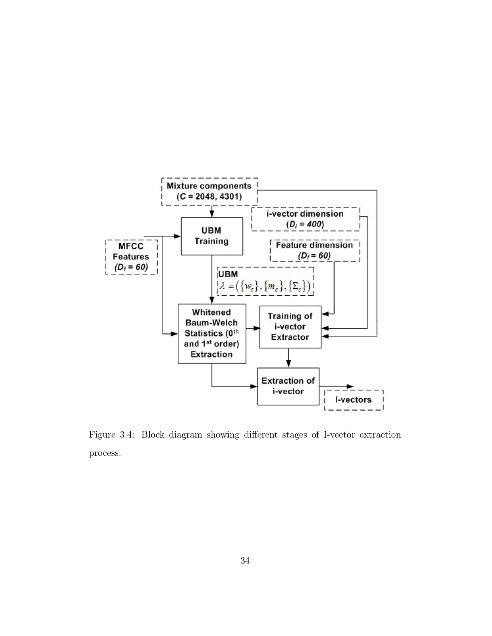

Figure 3.4: Block diagram showing different stages of I-vector extraction process.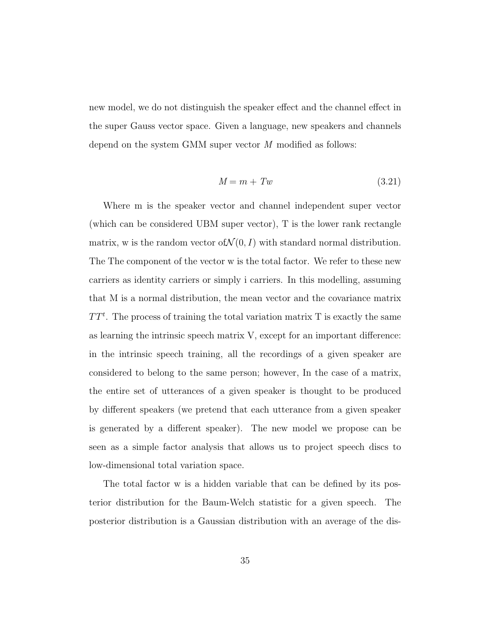new model, we do not distinguish the speaker effect and the channel effect in the super Gauss vector space. Given a language, new speakers and channels depend on the system GMM super vector M modified as follows:

$$
M = m + Tw \tag{3.21}
$$

Where m is the speaker vector and channel independent super vector (which can be considered UBM super vector), T is the lower rank rectangle matrix, w is the random vector of  $\mathcal{N}(0, I)$  with standard normal distribution. The The component of the vector w is the total factor. We refer to these new carriers as identity carriers or simply i carriers. In this modelling, assuming that M is a normal distribution, the mean vector and the covariance matrix  $TT<sup>t</sup>$ . The process of training the total variation matrix T is exactly the same as learning the intrinsic speech matrix V, except for an important difference: in the intrinsic speech training, all the recordings of a given speaker are considered to belong to the same person; however, In the case of a matrix, the entire set of utterances of a given speaker is thought to be produced by different speakers (we pretend that each utterance from a given speaker is generated by a different speaker). The new model we propose can be seen as a simple factor analysis that allows us to project speech discs to low-dimensional total variation space.

The total factor w is a hidden variable that can be defined by its posterior distribution for the Baum-Welch statistic for a given speech. The posterior distribution is a Gaussian distribution with an average of the dis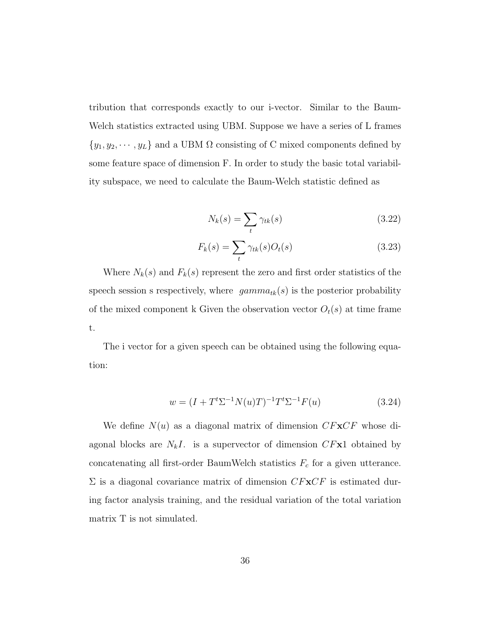tribution that corresponds exactly to our i-vector. Similar to the Baum-Welch statistics extracted using UBM. Suppose we have a series of L frames  $\{y_1, y_2, \dots, y_L\}$  and a UBM  $\Omega$  consisting of C mixed components defined by some feature space of dimension F. In order to study the basic total variability subspace, we need to calculate the Baum-Welch statistic defined as

$$
N_k(s) = \sum_t \gamma_{tk}(s) \tag{3.22}
$$

$$
F_k(s) = \sum_t \gamma_{tk}(s) O_t(s) \tag{3.23}
$$

Where  $N_k(s)$  and  $F_k(s)$  represent the zero and first order statistics of the speech session s respectively, where  $gamma_{tk}(s)$  is the posterior probability of the mixed component k Given the observation vector  $O_t(s)$  at time frame t.

The i vector for a given speech can be obtained using the following equation:

$$
w = (I + Tt \Sigma-1 N(u)T)-1 Tt \Sigma-1 F(u)
$$
\n(3.24)

<span id="page-38-0"></span>We define  $N(u)$  as a diagonal matrix of dimension  $CF \mathbf{x}CF$  whose diagonal blocks are  $N_kI$ . is a supervector of dimension  $CFx1$  obtained by concatenating all first-order BaumWelch statistics  $F_c$  for a given utterance.  $\Sigma$  is a diagonal covariance matrix of dimension  $CF \times CF$  is estimated during factor analysis training, and the residual variation of the total variation matrix T is not simulated.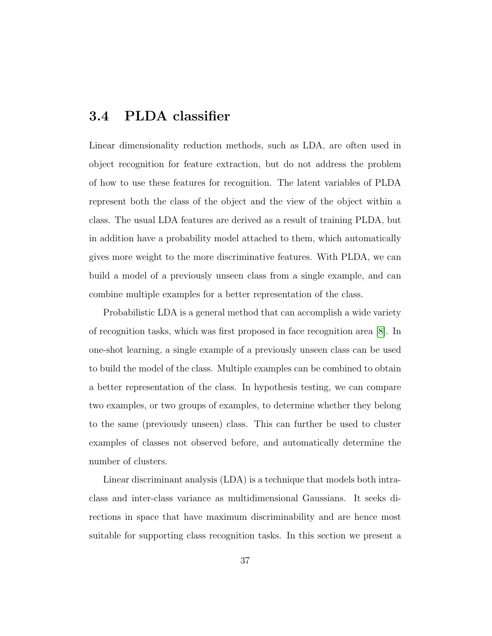### 3.4 PLDA classifier

Linear dimensionality reduction methods, such as LDA, are often used in object recognition for feature extraction, but do not address the problem of how to use these features for recognition. The latent variables of PLDA represent both the class of the object and the view of the object within a class. The usual LDA features are derived as a result of training PLDA, but in addition have a probability model attached to them, which automatically gives more weight to the more discriminative features. With PLDA, we can build a model of a previously unseen class from a single example, and can combine multiple examples for a better representation of the class.

Probabilistic LDA is a general method that can accomplish a wide variety of recognition tasks, which was first proposed in face recognition area [\[8\]](#page-69-3). In one-shot learning, a single example of a previously unseen class can be used to build the model of the class. Multiple examples can be combined to obtain a better representation of the class. In hypothesis testing, we can compare two examples, or two groups of examples, to determine whether they belong to the same (previously unseen) class. This can further be used to cluster examples of classes not observed before, and automatically determine the number of clusters.

Linear discriminant analysis (LDA) is a technique that models both intraclass and inter-class variance as multidimensional Gaussians. It seeks directions in space that have maximum discriminability and are hence most suitable for supporting class recognition tasks. In this section we present a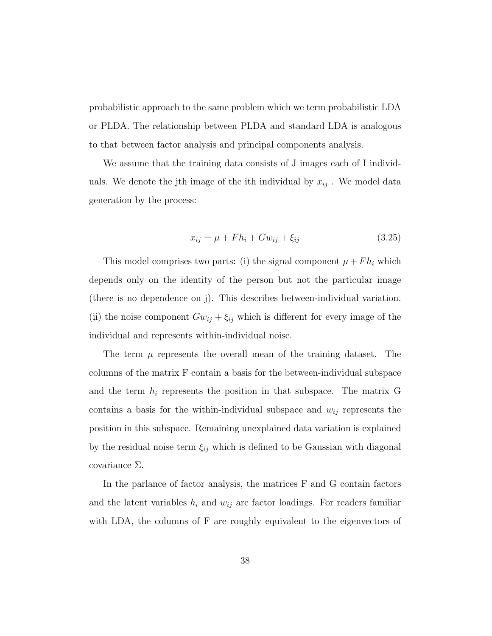probabilistic approach to the same problem which we term probabilistic LDA or PLDA. The relationship between PLDA and standard LDA is analogous to that between factor analysis and principal components analysis.

We assume that the training data consists of J images each of I individuals. We denote the j<sup>th</sup> image of the ith individual by  $x_{ij}$ . We model data generation by the process:

<span id="page-40-0"></span>
$$
x_{ij} = \mu + Fh_i + Gw_{ij} + \xi_{ij}
$$
\n
$$
(3.25)
$$

This model comprises two parts: (i) the signal component  $\mu + F h_i$  which depends only on the identity of the person but not the particular image (there is no dependence on j). This describes between-individual variation. (ii) the noise component  $Gw_{ij} + \xi_{ij}$  which is different for every image of the individual and represents within-individual noise.

The term  $\mu$  represents the overall mean of the training dataset. The columns of the matrix F contain a basis for the between-individual subspace and the term  $h_i$  represents the position in that subspace. The matrix G contains a basis for the within-individual subspace and  $w_{ij}$  represents the position in this subspace. Remaining unexplained data variation is explained by the residual noise term  $\xi_{ij}$  which is defined to be Gaussian with diagonal covariance  $\Sigma$ .

In the parlance of factor analysis, the matrices F and G contain factors and the latent variables  $h_i$  and  $w_{ij}$  are factor loadings. For readers familiar with LDA, the columns of F are roughly equivalent to the eigenvectors of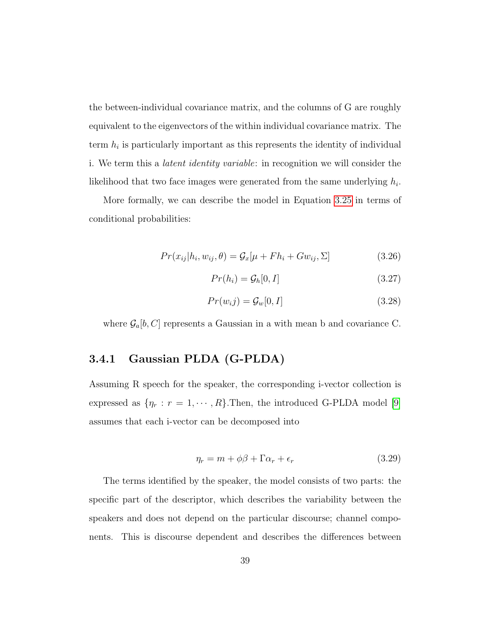the between-individual covariance matrix, and the columns of G are roughly equivalent to the eigenvectors of the within individual covariance matrix. The term  $h_i$  is particularly important as this represents the identity of individual i. We term this a latent identity variable: in recognition we will consider the likelihood that two face images were generated from the same underlying  $h_i$ .

More formally, we can describe the model in Equation [3.25](#page-40-0) in terms of conditional probabilities:

$$
Pr(x_{ij}|h_i, w_{ij}, \theta) = \mathcal{G}_x[\mu + Fh_i + Gw_{ij}, \Sigma]
$$
\n(3.26)

$$
Pr(h_i) = \mathcal{G}_h[0, I] \tag{3.27}
$$

$$
Pr(w_i j) = \mathcal{G}_w[0, I] \tag{3.28}
$$

<span id="page-41-0"></span>where  $\mathcal{G}_a[b, C]$  represents a Gaussian in a with mean b and covariance C.

#### 3.4.1 Gaussian PLDA (G-PLDA)

Assuming R speech for the speaker, the corresponding i-vector collection is expressed as  $\{\eta_r : r = 1, \dots, R\}$ . Then, the introduced G-PLDA model [\[9\]](#page-69-4) assumes that each i-vector can be decomposed into

$$
\eta_r = m + \phi\beta + \Gamma\alpha_r + \epsilon_r \tag{3.29}
$$

The terms identified by the speaker, the model consists of two parts: the specific part of the descriptor, which describes the variability between the speakers and does not depend on the particular discourse; channel components. This is discourse dependent and describes the differences between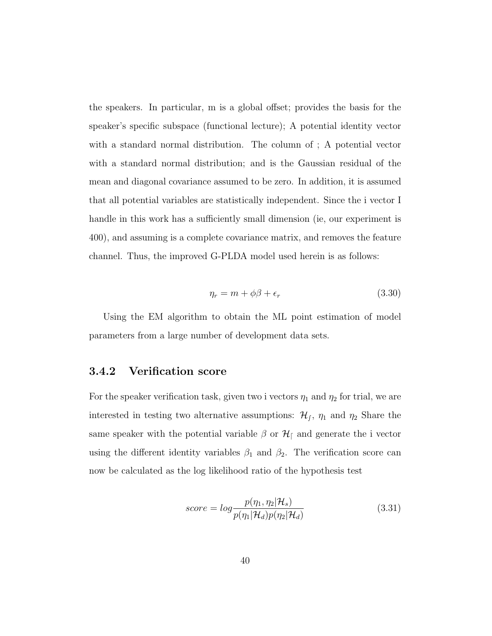the speakers. In particular, m is a global offset; provides the basis for the speaker's specific subspace (functional lecture); A potential identity vector with a standard normal distribution. The column of ; A potential vector with a standard normal distribution; and is the Gaussian residual of the mean and diagonal covariance assumed to be zero. In addition, it is assumed that all potential variables are statistically independent. Since the i vector I handle in this work has a sufficiently small dimension (ie, our experiment is 400), and assuming is a complete covariance matrix, and removes the feature channel. Thus, the improved G-PLDA model used herein is as follows:

$$
\eta_r = m + \phi\beta + \epsilon_r \tag{3.30}
$$

Using the EM algorithm to obtain the ML point estimation of model parameters from a large number of development data sets.

#### <span id="page-42-0"></span>3.4.2 Verification score

For the speaker verification task, given two i vectors  $\eta_1$  and  $\eta_2$  for trial, we are interested in testing two alternative assumptions:  $\mathcal{H}_f$ ,  $\eta_1$  and  $\eta_2$  Share the same speaker with the potential variable  $\beta$  or  $\mathcal{H}_{\beta}$  and generate the i vector using the different identity variables  $\beta_1$  and  $\beta_2$ . The verification score can now be calculated as the log likelihood ratio of the hypothesis test

<span id="page-42-1"></span>
$$
score = log \frac{p(\eta_1, \eta_2 | \mathcal{H}_s)}{p(\eta_1 | \mathcal{H}_d) p(\eta_2 | \mathcal{H}_d)}
$$
(3.31)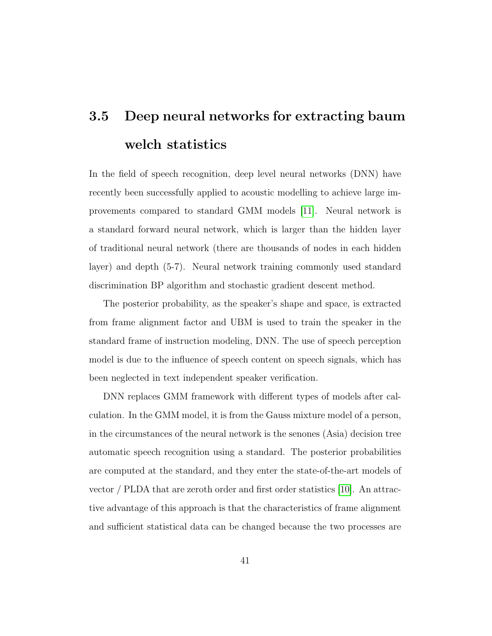# 3.5 Deep neural networks for extracting baum welch statistics

In the field of speech recognition, deep level neural networks (DNN) have recently been successfully applied to acoustic modelling to achieve large improvements compared to standard GMM models [\[11\]](#page-69-0). Neural network is a standard forward neural network, which is larger than the hidden layer of traditional neural network (there are thousands of nodes in each hidden layer) and depth (5-7). Neural network training commonly used standard discrimination BP algorithm and stochastic gradient descent method.

The posterior probability, as the speaker's shape and space, is extracted from frame alignment factor and UBM is used to train the speaker in the standard frame of instruction modeling, DNN. The use of speech perception model is due to the influence of speech content on speech signals, which has been neglected in text independent speaker verification.

DNN replaces GMM framework with different types of models after calculation. In the GMM model, it is from the Gauss mixture model of a person, in the circumstances of the neural network is the senones (Asia) decision tree automatic speech recognition using a standard. The posterior probabilities are computed at the standard, and they enter the state-of-the-art models of vector / PLDA that are zeroth order and first order statistics [\[10\]](#page-69-1). An attractive advantage of this approach is that the characteristics of frame alignment and sufficient statistical data can be changed because the two processes are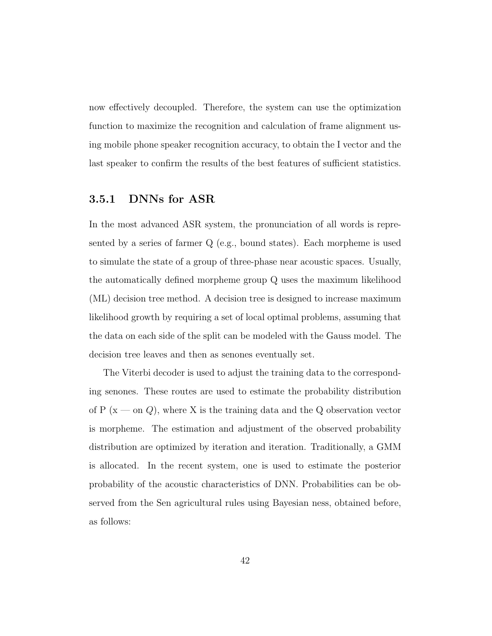now effectively decoupled. Therefore, the system can use the optimization function to maximize the recognition and calculation of frame alignment using mobile phone speaker recognition accuracy, to obtain the I vector and the last speaker to confirm the results of the best features of sufficient statistics.

#### <span id="page-44-0"></span>3.5.1 DNNs for ASR

In the most advanced ASR system, the pronunciation of all words is represented by a series of farmer Q (e.g., bound states). Each morpheme is used to simulate the state of a group of three-phase near acoustic spaces. Usually, the automatically defined morpheme group Q uses the maximum likelihood (ML) decision tree method. A decision tree is designed to increase maximum likelihood growth by requiring a set of local optimal problems, assuming that the data on each side of the split can be modeled with the Gauss model. The decision tree leaves and then as senones eventually set.

The Viterbi decoder is used to adjust the training data to the corresponding senones. These routes are used to estimate the probability distribution of P ( $x \text{—}$  on  $Q$ ), where X is the training data and the Q observation vector is morpheme. The estimation and adjustment of the observed probability distribution are optimized by iteration and iteration. Traditionally, a GMM is allocated. In the recent system, one is used to estimate the posterior probability of the acoustic characteristics of DNN. Probabilities can be observed from the Sen agricultural rules using Bayesian ness, obtained before, as follows: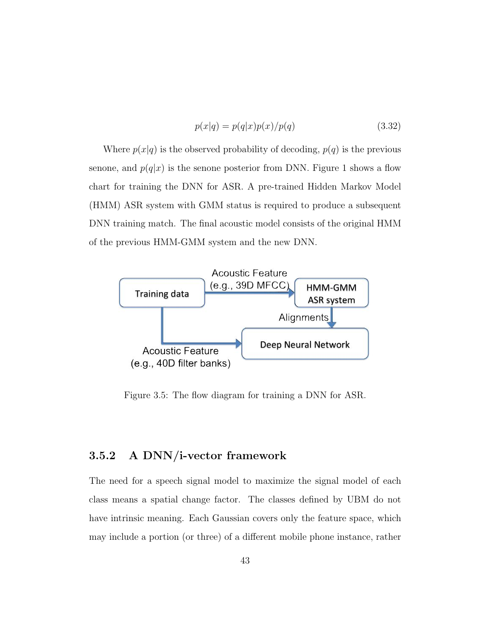$$
p(x|q) = p(q|x)p(x)/p(q)
$$
\n(3.32)

Where  $p(x|q)$  is the observed probability of decoding,  $p(q)$  is the previous senone, and  $p(q|x)$  is the senone posterior from DNN. Figure 1 shows a flow chart for training the DNN for ASR. A pre-trained Hidden Markov Model (HMM) ASR system with GMM status is required to produce a subsequent DNN training match. The final acoustic model consists of the original HMM of the previous HMM-GMM system and the new DNN.



Figure 3.5: The flow diagram for training a DNN for ASR.

#### <span id="page-45-0"></span>3.5.2 A DNN/i-vector framework

The need for a speech signal model to maximize the signal model of each class means a spatial change factor. The classes defined by UBM do not have intrinsic meaning. Each Gaussian covers only the feature space, which may include a portion (or three) of a different mobile phone instance, rather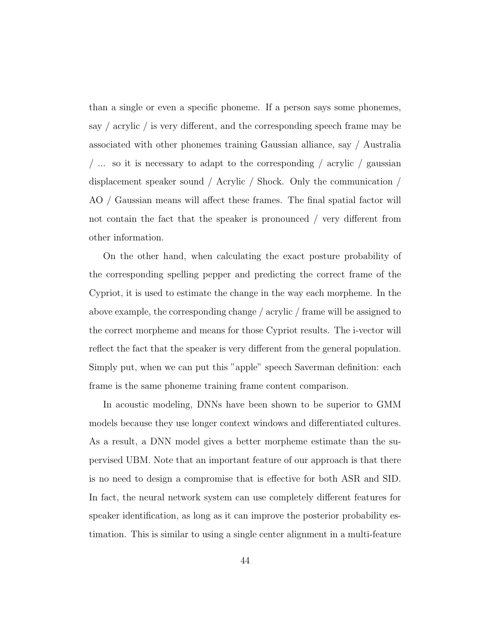than a single or even a specific phoneme. If a person says some phonemes, say / acrylic / is very different, and the corresponding speech frame may be associated with other phonemes training Gaussian alliance, say / Australia / ... so it is necessary to adapt to the corresponding / acrylic / gaussian displacement speaker sound / Acrylic / Shock. Only the communication / AO / Gaussian means will affect these frames. The final spatial factor will not contain the fact that the speaker is pronounced / very different from other information.

On the other hand, when calculating the exact posture probability of the corresponding spelling pepper and predicting the correct frame of the Cypriot, it is used to estimate the change in the way each morpheme. In the above example, the corresponding change / acrylic / frame will be assigned to the correct morpheme and means for those Cypriot results. The i-vector will reflect the fact that the speaker is very different from the general population. Simply put, when we can put this "apple" speech Saverman definition: each frame is the same phoneme training frame content comparison.

In acoustic modeling, DNNs have been shown to be superior to GMM models because they use longer context windows and differentiated cultures. As a result, a DNN model gives a better morpheme estimate than the supervised UBM. Note that an important feature of our approach is that there is no need to design a compromise that is effective for both ASR and SID. In fact, the neural network system can use completely different features for speaker identification, as long as it can improve the posterior probability estimation. This is similar to using a single center alignment in a multi-feature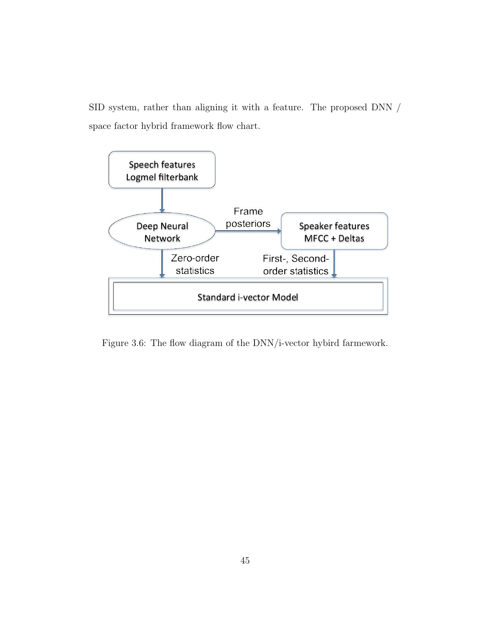SID system, rather than aligning it with a feature. The proposed DNN / space factor hybrid framework flow chart.



Figure 3.6: The flow diagram of the DNN/i-vector hybird farmework.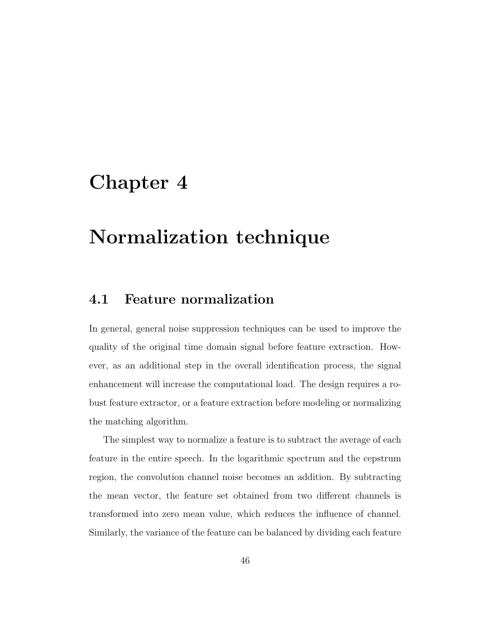### <span id="page-48-0"></span>Chapter 4

## Normalization technique

### <span id="page-48-1"></span>4.1 Feature normalization

In general, general noise suppression techniques can be used to improve the quality of the original time domain signal before feature extraction. However, as an additional step in the overall identification process, the signal enhancement will increase the computational load. The design requires a robust feature extractor, or a feature extraction before modeling or normalizing the matching algorithm.

The simplest way to normalize a feature is to subtract the average of each feature in the entire speech. In the logarithmic spectrum and the cepstrum region, the convolution channel noise becomes an addition. By subtracting the mean vector, the feature set obtained from two different channels is transformed into zero mean value, which reduces the influence of channel. Similarly, the variance of the feature can be balanced by dividing each feature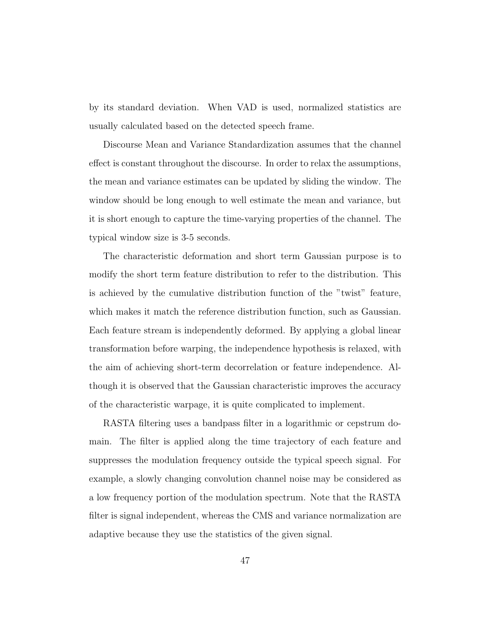by its standard deviation. When VAD is used, normalized statistics are usually calculated based on the detected speech frame.

Discourse Mean and Variance Standardization assumes that the channel effect is constant throughout the discourse. In order to relax the assumptions, the mean and variance estimates can be updated by sliding the window. The window should be long enough to well estimate the mean and variance, but it is short enough to capture the time-varying properties of the channel. The typical window size is 3-5 seconds.

The characteristic deformation and short term Gaussian purpose is to modify the short term feature distribution to refer to the distribution. This is achieved by the cumulative distribution function of the "twist" feature, which makes it match the reference distribution function, such as Gaussian. Each feature stream is independently deformed. By applying a global linear transformation before warping, the independence hypothesis is relaxed, with the aim of achieving short-term decorrelation or feature independence. Although it is observed that the Gaussian characteristic improves the accuracy of the characteristic warpage, it is quite complicated to implement.

<span id="page-49-0"></span>RASTA filtering uses a bandpass filter in a logarithmic or cepstrum domain. The filter is applied along the time trajectory of each feature and suppresses the modulation frequency outside the typical speech signal. For example, a slowly changing convolution channel noise may be considered as a low frequency portion of the modulation spectrum. Note that the RASTA filter is signal independent, whereas the CMS and variance normalization are adaptive because they use the statistics of the given signal.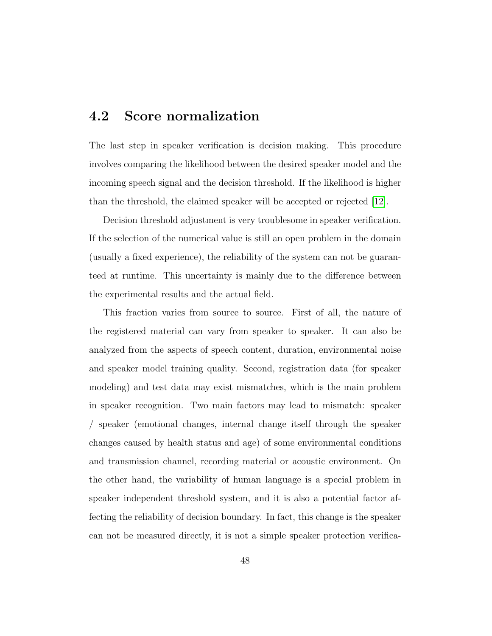### 4.2 Score normalization

The last step in speaker verification is decision making. This procedure involves comparing the likelihood between the desired speaker model and the incoming speech signal and the decision threshold. If the likelihood is higher than the threshold, the claimed speaker will be accepted or rejected [\[12\]](#page-69-5).

Decision threshold adjustment is very troublesome in speaker verification. If the selection of the numerical value is still an open problem in the domain (usually a fixed experience), the reliability of the system can not be guaranteed at runtime. This uncertainty is mainly due to the difference between the experimental results and the actual field.

This fraction varies from source to source. First of all, the nature of the registered material can vary from speaker to speaker. It can also be analyzed from the aspects of speech content, duration, environmental noise and speaker model training quality. Second, registration data (for speaker modeling) and test data may exist mismatches, which is the main problem in speaker recognition. Two main factors may lead to mismatch: speaker / speaker (emotional changes, internal change itself through the speaker changes caused by health status and age) of some environmental conditions and transmission channel, recording material or acoustic environment. On the other hand, the variability of human language is a special problem in speaker independent threshold system, and it is also a potential factor affecting the reliability of decision boundary. In fact, this change is the speaker can not be measured directly, it is not a simple speaker protection verifica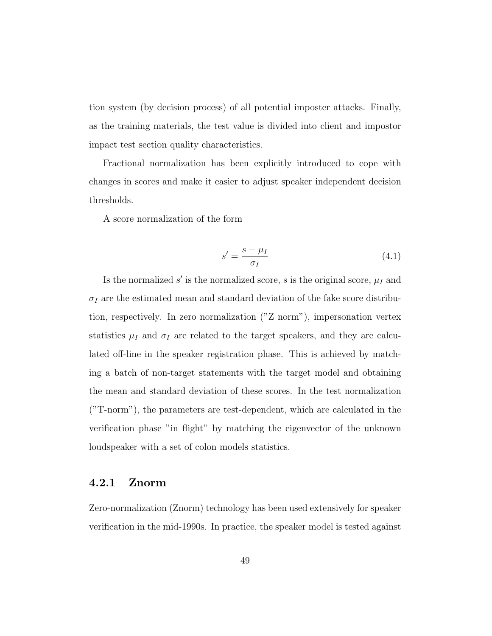tion system (by decision process) of all potential imposter attacks. Finally, as the training materials, the test value is divided into client and impostor impact test section quality characteristics.

Fractional normalization has been explicitly introduced to cope with changes in scores and make it easier to adjust speaker independent decision thresholds.

A score normalization of the form

$$
s' = \frac{s - \mu_I}{\sigma_I} \tag{4.1}
$$

Is the normalized  $s'$  is the normalized score, s is the original score,  $\mu_I$  and  $\sigma_I$  are the estimated mean and standard deviation of the fake score distribution, respectively. In zero normalization ("Z norm"), impersonation vertex statistics  $\mu_I$  and  $\sigma_I$  are related to the target speakers, and they are calculated off-line in the speaker registration phase. This is achieved by matching a batch of non-target statements with the target model and obtaining the mean and standard deviation of these scores. In the test normalization ("T-norm"), the parameters are test-dependent, which are calculated in the verification phase "in flight" by matching the eigenvector of the unknown loudspeaker with a set of colon models statistics.

#### <span id="page-51-0"></span>4.2.1 Znorm

Zero-normalization (Znorm) technology has been used extensively for speaker verification in the mid-1990s. In practice, the speaker model is tested against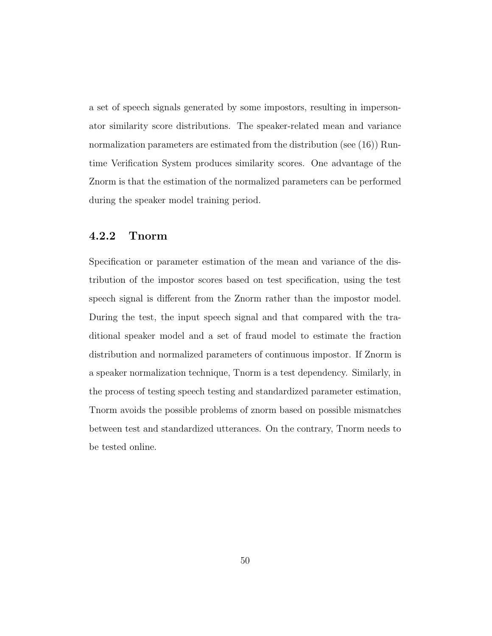a set of speech signals generated by some impostors, resulting in impersonator similarity score distributions. The speaker-related mean and variance normalization parameters are estimated from the distribution (see (16)) Runtime Verification System produces similarity scores. One advantage of the Znorm is that the estimation of the normalized parameters can be performed during the speaker model training period.

#### <span id="page-52-0"></span>4.2.2 Tnorm

Specification or parameter estimation of the mean and variance of the distribution of the impostor scores based on test specification, using the test speech signal is different from the Znorm rather than the impostor model. During the test, the input speech signal and that compared with the traditional speaker model and a set of fraud model to estimate the fraction distribution and normalized parameters of continuous impostor. If Znorm is a speaker normalization technique, Tnorm is a test dependency. Similarly, in the process of testing speech testing and standardized parameter estimation, Tnorm avoids the possible problems of znorm based on possible mismatches between test and standardized utterances. On the contrary, Tnorm needs to be tested online.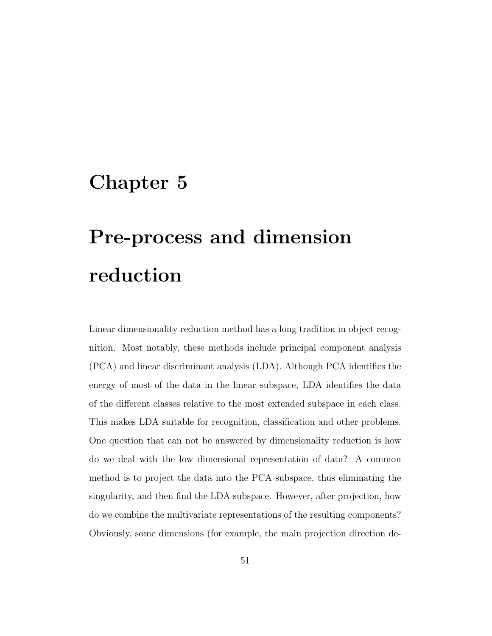### <span id="page-53-0"></span>Chapter 5

# Pre-process and dimension reduction

Linear dimensionality reduction method has a long tradition in object recognition. Most notably, these methods include principal component analysis (PCA) and linear discriminant analysis (LDA). Although PCA identifies the energy of most of the data in the linear subspace, LDA identifies the data of the different classes relative to the most extended subspace in each class. This makes LDA suitable for recognition, classification and other problems. One question that can not be answered by dimensionality reduction is how do we deal with the low dimensional representation of data? A common method is to project the data into the PCA subspace, thus eliminating the singularity, and then find the LDA subspace. However, after projection, how do we combine the multivariate representations of the resulting components? Obviously, some dimensions (for example, the main projection direction de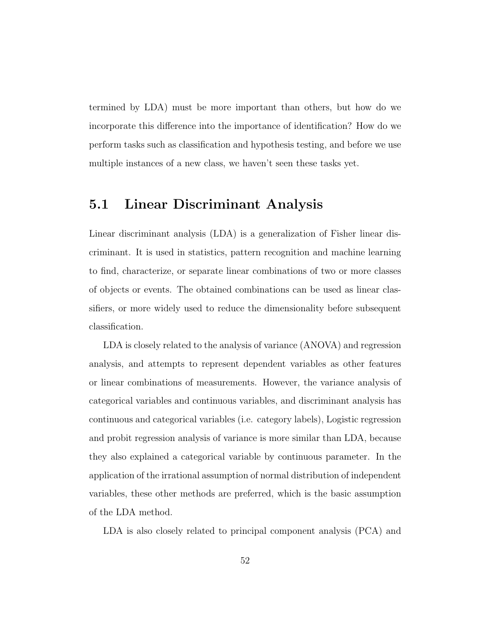termined by LDA) must be more important than others, but how do we incorporate this difference into the importance of identification? How do we perform tasks such as classification and hypothesis testing, and before we use multiple instances of a new class, we haven't seen these tasks yet.

### <span id="page-54-0"></span>5.1 Linear Discriminant Analysis

Linear discriminant analysis (LDA) is a generalization of Fisher linear discriminant. It is used in statistics, pattern recognition and machine learning to find, characterize, or separate linear combinations of two or more classes of objects or events. The obtained combinations can be used as linear classifiers, or more widely used to reduce the dimensionality before subsequent classification.

LDA is closely related to the analysis of variance (ANOVA) and regression analysis, and attempts to represent dependent variables as other features or linear combinations of measurements. However, the variance analysis of categorical variables and continuous variables, and discriminant analysis has continuous and categorical variables (i.e. category labels), Logistic regression and probit regression analysis of variance is more similar than LDA, because they also explained a categorical variable by continuous parameter. In the application of the irrational assumption of normal distribution of independent variables, these other methods are preferred, which is the basic assumption of the LDA method.

LDA is also closely related to principal component analysis (PCA) and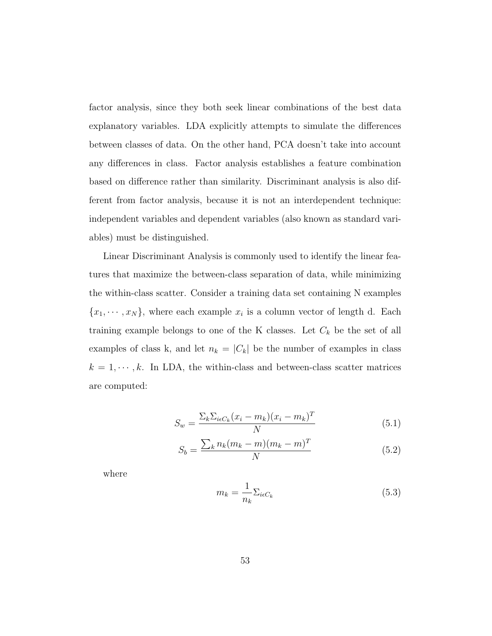factor analysis, since they both seek linear combinations of the best data explanatory variables. LDA explicitly attempts to simulate the differences between classes of data. On the other hand, PCA doesn't take into account any differences in class. Factor analysis establishes a feature combination based on difference rather than similarity. Discriminant analysis is also different from factor analysis, because it is not an interdependent technique: independent variables and dependent variables (also known as standard variables) must be distinguished.

Linear Discriminant Analysis is commonly used to identify the linear features that maximize the between-class separation of data, while minimizing the within-class scatter. Consider a training data set containing N examples  ${x_1, \dots, x_N}$ , where each example  $x_i$  is a column vector of length d. Each training example belongs to one of the K classes. Let  $C_k$  be the set of all examples of class k, and let  $n_k = |C_k|$  be the number of examples in class  $k = 1, \dots, k$ . In LDA, the within-class and between-class scatter matrices are computed:

$$
S_w = \frac{\sum_k \sum_{i \in C_k} (x_i - m_k)(x_i - m_k)^T}{N}
$$
\n
$$
(5.1)
$$

$$
S_b = \frac{\sum_{k} n_k (m_k - m)(m_k - m)^T}{N}
$$
 (5.2)

where

$$
m_k = \frac{1}{n_k} \Sigma_{i\epsilon C_k} \tag{5.3}
$$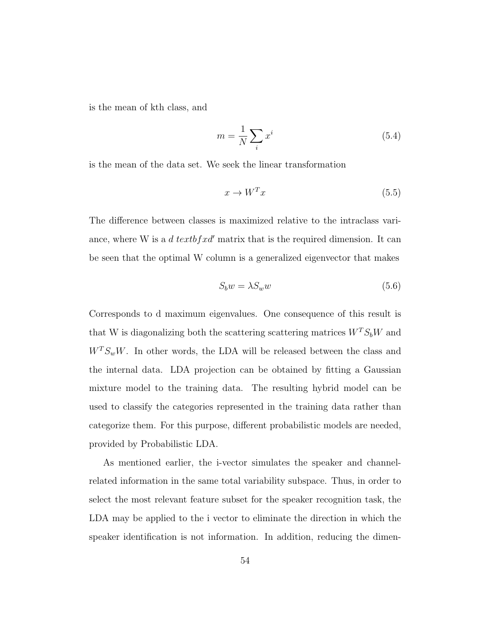is the mean of kth class, and

$$
m = \frac{1}{N} \sum_{i} x^{i}
$$
\n(5.4)

is the mean of the data set. We seek the linear transformation

$$
x \to W^T x \tag{5.5}
$$

The difference between classes is maximized relative to the intraclass variance, where W is a d text of x d' matrix that is the required dimension. It can be seen that the optimal W column is a generalized eigenvector that makes

$$
S_b w = \lambda S_w w \tag{5.6}
$$

Corresponds to d maximum eigenvalues. One consequence of this result is that W is diagonalizing both the scattering scattering matrices  $W^T S_b W$  and  $W^T S_w W$ . In other words, the LDA will be released between the class and the internal data. LDA projection can be obtained by fitting a Gaussian mixture model to the training data. The resulting hybrid model can be used to classify the categories represented in the training data rather than categorize them. For this purpose, different probabilistic models are needed, provided by Probabilistic LDA.

As mentioned earlier, the i-vector simulates the speaker and channelrelated information in the same total variability subspace. Thus, in order to select the most relevant feature subset for the speaker recognition task, the LDA may be applied to the i vector to eliminate the direction in which the speaker identification is not information. In addition, reducing the dimen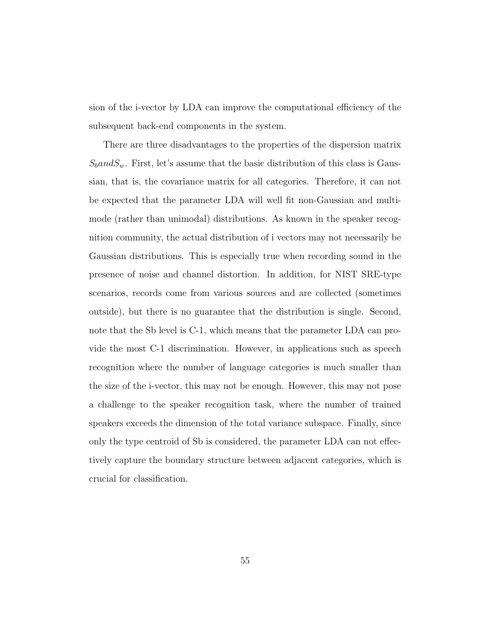sion of the i-vector by LDA can improve the computational efficiency of the subsequent back-end components in the system.

<span id="page-57-0"></span>There are three disadvantages to the properties of the dispersion matrix  $S<sub>b</sub> and S<sub>w</sub>$ . First, let's assume that the basic distribution of this class is Gaussian, that is, the covariance matrix for all categories. Therefore, it can not be expected that the parameter LDA will well fit non-Gaussian and multimode (rather than unimodal) distributions. As known in the speaker recognition community, the actual distribution of i vectors may not necessarily be Gaussian distributions. This is especially true when recording sound in the presence of noise and channel distortion. In addition, for NIST SRE-type scenarios, records come from various sources and are collected (sometimes outside), but there is no guarantee that the distribution is single. Second, note that the Sb level is C-1, which means that the parameter LDA can provide the most C-1 discrimination. However, in applications such as speech recognition where the number of language categories is much smaller than the size of the i-vector, this may not be enough. However, this may not pose a challenge to the speaker recognition task, where the number of trained speakers exceeds the dimension of the total variance subspace. Finally, since only the type centroid of Sb is considered, the parameter LDA can not effectively capture the boundary structure between adjacent categories, which is crucial for classification.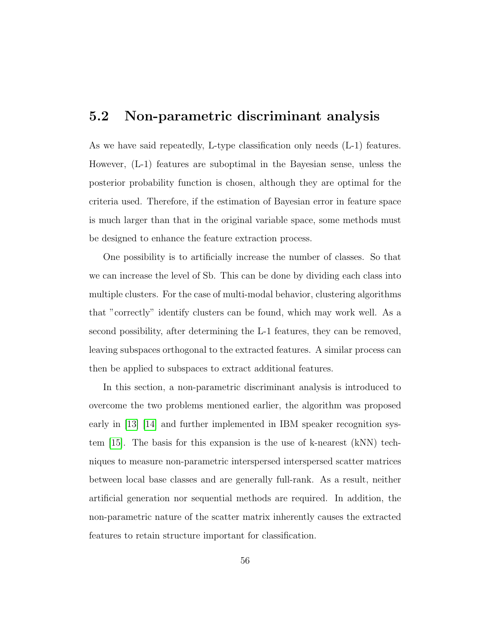### 5.2 Non-parametric discriminant analysis

As we have said repeatedly, L-type classification only needs (L-1) features. However, (L-1) features are suboptimal in the Bayesian sense, unless the posterior probability function is chosen, although they are optimal for the criteria used. Therefore, if the estimation of Bayesian error in feature space is much larger than that in the original variable space, some methods must be designed to enhance the feature extraction process.

One possibility is to artificially increase the number of classes. So that we can increase the level of Sb. This can be done by dividing each class into multiple clusters. For the case of multi-modal behavior, clustering algorithms that "correctly" identify clusters can be found, which may work well. As a second possibility, after determining the L-1 features, they can be removed, leaving subspaces orthogonal to the extracted features. A similar process can then be applied to subspaces to extract additional features.

In this section, a non-parametric discriminant analysis is introduced to overcome the two problems mentioned earlier, the algorithm was proposed early in [\[13\]](#page-69-6) [\[14\]](#page-69-7) and further implemented in IBM speaker recognition system [\[15\]](#page-70-0). The basis for this expansion is the use of k-nearest (kNN) techniques to measure non-parametric interspersed interspersed scatter matrices between local base classes and are generally full-rank. As a result, neither artificial generation nor sequential methods are required. In addition, the non-parametric nature of the scatter matrix inherently causes the extracted features to retain structure important for classification.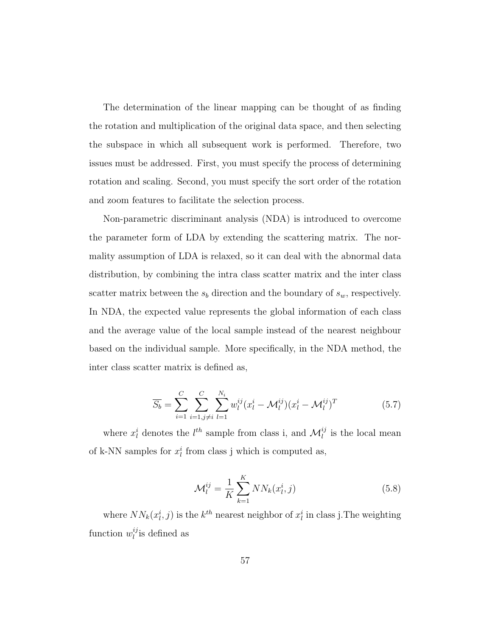The determination of the linear mapping can be thought of as finding the rotation and multiplication of the original data space, and then selecting the subspace in which all subsequent work is performed. Therefore, two issues must be addressed. First, you must specify the process of determining rotation and scaling. Second, you must specify the sort order of the rotation and zoom features to facilitate the selection process.

Non-parametric discriminant analysis (NDA) is introduced to overcome the parameter form of LDA by extending the scattering matrix. The normality assumption of LDA is relaxed, so it can deal with the abnormal data distribution, by combining the intra class scatter matrix and the inter class scatter matrix between the  $s_b$  direction and the boundary of  $s_w$ , respectively. In NDA, the expected value represents the global information of each class and the average value of the local sample instead of the nearest neighbour based on the individual sample. More specifically, in the NDA method, the inter class scatter matrix is defined as,

$$
\overline{S_b} = \sum_{i=1}^{C} \sum_{i=1, j \neq i}^{C} \sum_{l=1}^{N_i} w_l^{ij} (x_l^i - \mathcal{M}_l^{ij}) (x_l^i - \mathcal{M}_l^{ij})^T
$$
(5.7)

where  $x_l^i$  denotes the  $l^{th}$  sample from class i, and  $\mathcal{M}_l^{ij}$  is the local mean of k-NN samples for  $x_l^i$  from class j which is computed as,

$$
\mathcal{M}_l^{ij} = \frac{1}{K} \sum_{k=1}^{K} N N_k(x_l^i, j)
$$
 (5.8)

where  $NN_k(x_i^i, j)$  is the  $k^{th}$  nearest neighbor of  $x_i^i$  in class j. The weighting function  $w_l^{ij}$  $l_i^{ij}$  is defined as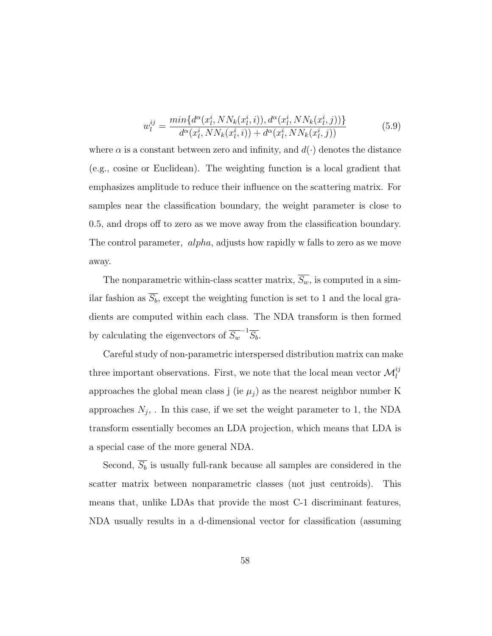$$
w_l^{ij} = \frac{\min\{d^{\alpha}(x_l^i, NN_k(x_l^i, i)), d^{\alpha}(x_l^i, NN_k(x_l^i, j))\}}{d^{\alpha}(x_l^i, NN_k(x_l^i, i)) + d^{\alpha}(x_l^i, NN_k(x_l^i, j))}
$$
(5.9)

where  $\alpha$  is a constant between zero and infinity, and  $d(\cdot)$  denotes the distance (e.g., cosine or Euclidean). The weighting function is a local gradient that emphasizes amplitude to reduce their influence on the scattering matrix. For samples near the classification boundary, the weight parameter is close to 0.5, and drops off to zero as we move away from the classification boundary. The control parameter, alpha, adjusts how rapidly w falls to zero as we move away.

The nonparametric within-class scatter matrix,  $\overline{S_w}$ , is computed in a similar fashion as  $\overline{S_b}$ , except the weighting function is set to 1 and the local gradients are computed within each class. The NDA transform is then formed by calculating the eigenvectors of  $\overline{S_w}^{-1} \overline{S_b}$ .

Careful study of non-parametric interspersed distribution matrix can make three important observations. First, we note that the local mean vector  $\mathcal{M}_l^{ij}$ approaches the global mean class j (ie  $\mu_j$ ) as the nearest neighbor number K approaches  $N_j$ , In this case, if we set the weight parameter to 1, the NDA transform essentially becomes an LDA projection, which means that LDA is a special case of the more general NDA.

Second,  $\overline{S_b}$  is usually full-rank because all samples are considered in the scatter matrix between nonparametric classes (not just centroids). This means that, unlike LDAs that provide the most C-1 discriminant features, NDA usually results in a d-dimensional vector for classification (assuming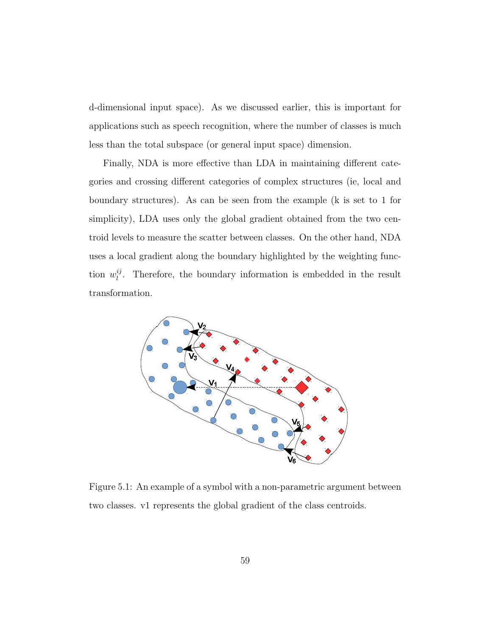d-dimensional input space). As we discussed earlier, this is important for applications such as speech recognition, where the number of classes is much less than the total subspace (or general input space) dimension.

Finally, NDA is more effective than LDA in maintaining different categories and crossing different categories of complex structures (ie, local and boundary structures). As can be seen from the example (k is set to 1 for simplicity), LDA uses only the global gradient obtained from the two centroid levels to measure the scatter between classes. On the other hand, NDA uses a local gradient along the boundary highlighted by the weighting function  $w_l^{ij}$  $\ell_l^{\mathcal{U}}$ . Therefore, the boundary information is embedded in the result transformation.



Figure 5.1: An example of a symbol with a non-parametric argument between two classes. v1 represents the global gradient of the class centroids.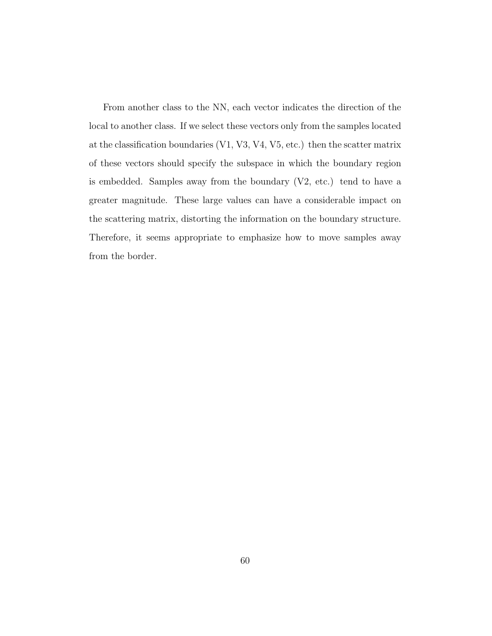From another class to the NN, each vector indicates the direction of the local to another class. If we select these vectors only from the samples located at the classification boundaries (V1, V3, V4, V5, etc.) then the scatter matrix of these vectors should specify the subspace in which the boundary region is embedded. Samples away from the boundary (V2, etc.) tend to have a greater magnitude. These large values can have a considerable impact on the scattering matrix, distorting the information on the boundary structure. Therefore, it seems appropriate to emphasize how to move samples away from the border.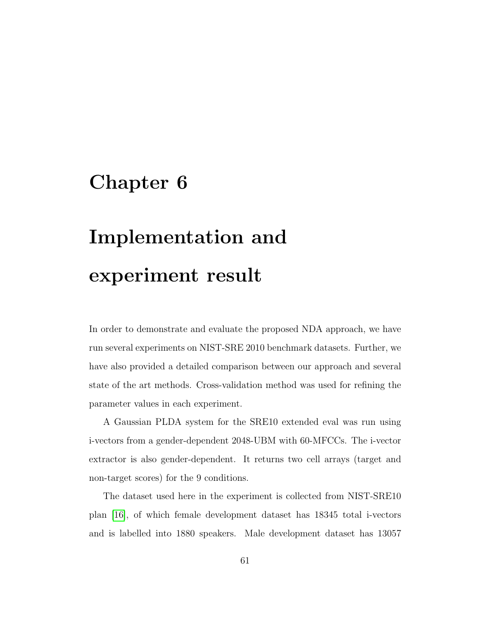### <span id="page-63-0"></span>Chapter 6

# Implementation and experiment result

In order to demonstrate and evaluate the proposed NDA approach, we have run several experiments on NIST-SRE 2010 benchmark datasets. Further, we have also provided a detailed comparison between our approach and several state of the art methods. Cross-validation method was used for refining the parameter values in each experiment.

A Gaussian PLDA system for the SRE10 extended eval was run using i-vectors from a gender-dependent 2048-UBM with 60-MFCCs. The i-vector extractor is also gender-dependent. It returns two cell arrays (target and non-target scores) for the 9 conditions.

The dataset used here in the experiment is collected from NIST-SRE10 plan [\[16\]](#page-70-1), of which female development dataset has 18345 total i-vectors and is labelled into 1880 speakers. Male development dataset has 13057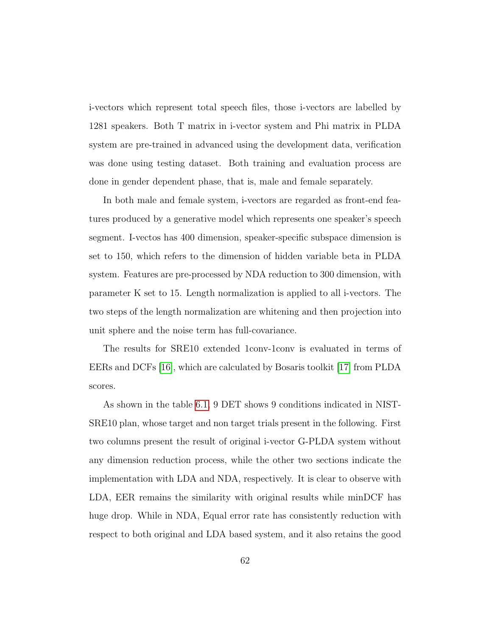i-vectors which represent total speech files, those i-vectors are labelled by 1281 speakers. Both T matrix in i-vector system and Phi matrix in PLDA system are pre-trained in advanced using the development data, verification was done using testing dataset. Both training and evaluation process are done in gender dependent phase, that is, male and female separately.

In both male and female system, i-vectors are regarded as front-end features produced by a generative model which represents one speaker's speech segment. I-vectos has 400 dimension, speaker-specific subspace dimension is set to 150, which refers to the dimension of hidden variable beta in PLDA system. Features are pre-processed by NDA reduction to 300 dimension, with parameter K set to 15. Length normalization is applied to all i-vectors. The two steps of the length normalization are whitening and then projection into unit sphere and the noise term has full-covariance.

The results for SRE10 extended 1conv-1conv is evaluated in terms of EERs and DCFs [\[16\]](#page-70-1), which are calculated by Bosaris toolkit [\[17\]](#page-70-2) from PLDA scores.

As shown in the table [6.1,](#page-65-0) 9 DET shows 9 conditions indicated in NIST-SRE10 plan, whose target and non target trials present in the following. First two columns present the result of original i-vector G-PLDA system without any dimension reduction process, while the other two sections indicate the implementation with LDA and NDA, respectively. It is clear to observe with LDA, EER remains the similarity with original results while minDCF has huge drop. While in NDA, Equal error rate has consistently reduction with respect to both original and LDA based system, and it also retains the good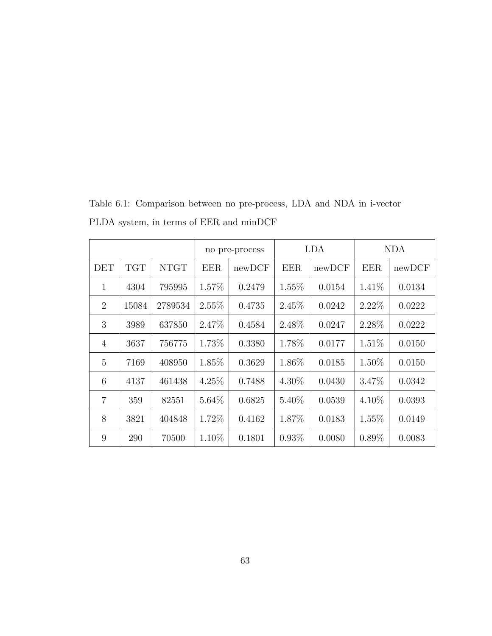|                |            | no pre-process |            | <b>LDA</b> |            | <b>NDA</b> |            |        |
|----------------|------------|----------------|------------|------------|------------|------------|------------|--------|
| DET            | <b>TGT</b> | <b>NTGT</b>    | <b>EER</b> | newDCF     | <b>EER</b> | newDCF     | <b>EER</b> | newDCF |
| $\mathbf{1}$   | 4304       | 795995         | 1.57%      | 0.2479     | $1.55\%$   | 0.0154     | 1.41\%     | 0.0134 |
| $\overline{2}$ | 15084      | 2789534        | 2.55%      | 0.4735     | 2.45%      | 0.0242     | $2.22\%$   | 0.0222 |
| 3              | 3989       | 637850         | 2.47\%     | 0.4584     | 2.48%      | 0.0247     | 2.28%      | 0.0222 |
| $\overline{4}$ | 3637       | 756775         | 1.73%      | 0.3380     | 1.78%      | 0.0177     | $1.51\%$   | 0.0150 |
| $\overline{5}$ | 7169       | 408950         | 1.85%      | 0.3629     | 1.86%      | 0.0185     | $1.50\%$   | 0.0150 |
| 6              | 4137       | 461438         | $4.25\%$   | 0.7488     | $4.30\%$   | 0.0430     | 3.47%      | 0.0342 |
| $\overline{7}$ | 359        | 82551          | 5.64%      | 0.6825     | 5.40%      | 0.0539     | $4.10\%$   | 0.0393 |
| 8              | 3821       | 404848         | 1.72%      | 0.4162     | 1.87%      | 0.0183     | $1.55\%$   | 0.0149 |
| 9              | 290        | 70500          | 1.10%      | 0.1801     | $0.93\%$   | 0.0080     | $0.89\%$   | 0.0083 |

<span id="page-65-0"></span>Table 6.1: Comparison between no pre-process, LDA and NDA in i-vector PLDA system, in terms of EER and minDCF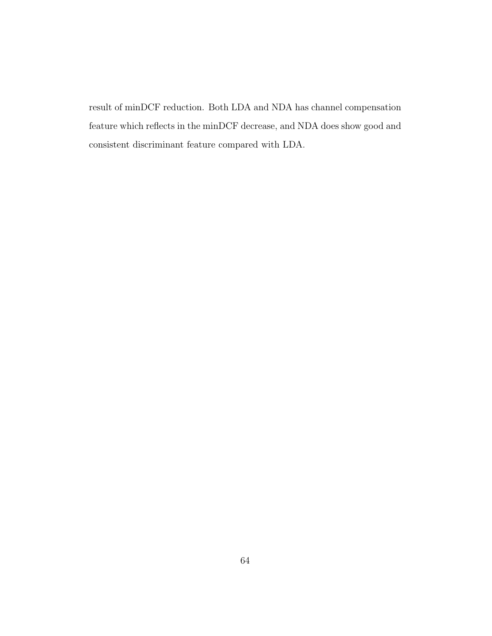result of minDCF reduction. Both LDA and NDA has channel compensation feature which reflects in the minDCF decrease, and NDA does show good and consistent discriminant feature compared with LDA.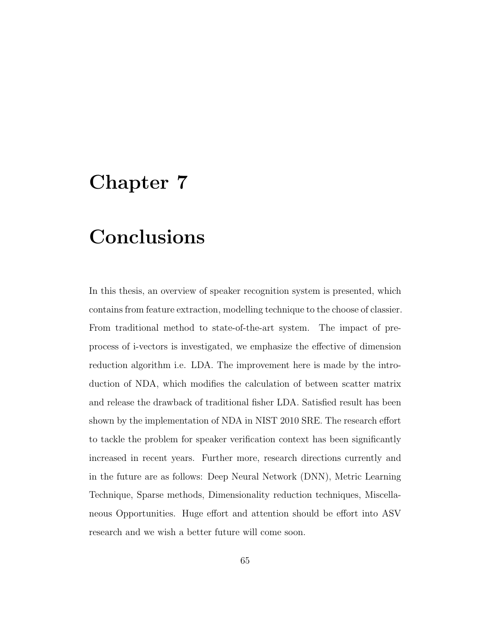# <span id="page-67-0"></span>Chapter 7

# Conclusions

In this thesis, an overview of speaker recognition system is presented, which contains from feature extraction, modelling technique to the choose of classier. From traditional method to state-of-the-art system. The impact of preprocess of i-vectors is investigated, we emphasize the effective of dimension reduction algorithm i.e. LDA. The improvement here is made by the introduction of NDA, which modifies the calculation of between scatter matrix and release the drawback of traditional fisher LDA. Satisfied result has been shown by the implementation of NDA in NIST 2010 SRE. The research effort to tackle the problem for speaker verification context has been significantly increased in recent years. Further more, research directions currently and in the future are as follows: Deep Neural Network (DNN), Metric Learning Technique, Sparse methods, Dimensionality reduction techniques, Miscellaneous Opportunities. Huge effort and attention should be effort into ASV research and we wish a better future will come soon.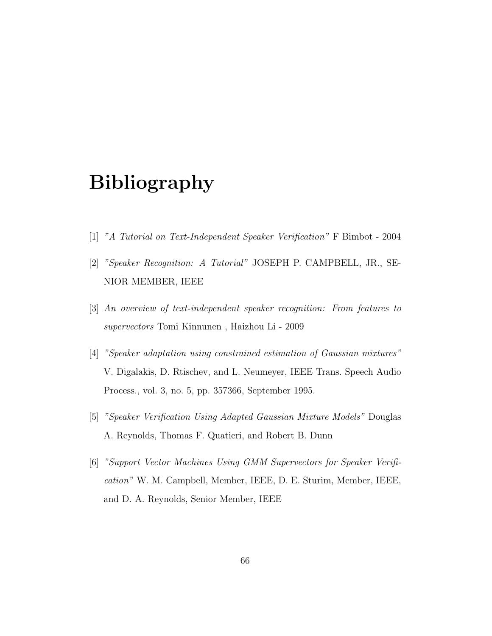# Bibliography

- <span id="page-68-1"></span><span id="page-68-0"></span>[1] "A Tutorial on Text-Independent Speaker Verification" F Bimbot - 2004
- [2] "Speaker Recognition: A Tutorial" JOSEPH P. CAMPBELL, JR., SE-NIOR MEMBER, IEEE
- <span id="page-68-2"></span>[3] An overview of text-independent speaker recognition: From features to supervectors Tomi Kinnunen , Haizhou Li - 2009
- <span id="page-68-3"></span>[4] "Speaker adaptation using constrained estimation of Gaussian mixtures" V. Digalakis, D. Rtischev, and L. Neumeyer, IEEE Trans. Speech Audio Process., vol. 3, no. 5, pp. 357366, September 1995.
- <span id="page-68-4"></span>[5] "Speaker Verification Using Adapted Gaussian Mixture Models" Douglas A. Reynolds, Thomas F. Quatieri, and Robert B. Dunn
- <span id="page-68-5"></span>[6] "Support Vector Machines Using GMM Supervectors for Speaker Verification" W. M. Campbell, Member, IEEE, D. E. Sturim, Member, IEEE, and D. A. Reynolds, Senior Member, IEEE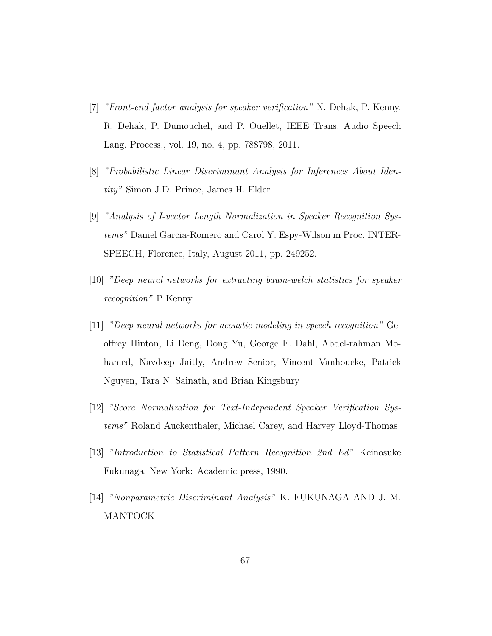- <span id="page-69-2"></span>[7] "Front-end factor analysis for speaker verification" N. Dehak, P. Kenny, R. Dehak, P. Dumouchel, and P. Ouellet, IEEE Trans. Audio Speech Lang. Process., vol. 19, no. 4, pp. 788798, 2011.
- <span id="page-69-3"></span>[8] "Probabilistic Linear Discriminant Analysis for Inferences About Identity" Simon J.D. Prince, James H. Elder
- <span id="page-69-4"></span>[9] "Analysis of I-vector Length Normalization in Speaker Recognition Systems" Daniel Garcia-Romero and Carol Y. Espy-Wilson in Proc. INTER-SPEECH, Florence, Italy, August 2011, pp. 249252.
- <span id="page-69-1"></span>[10] "Deep neural networks for extracting baum-welch statistics for speaker recognition" P Kenny
- <span id="page-69-0"></span>[11] "Deep neural networks for acoustic modeling in speech recognition" Geoffrey Hinton, Li Deng, Dong Yu, George E. Dahl, Abdel-rahman Mohamed, Navdeep Jaitly, Andrew Senior, Vincent Vanhoucke, Patrick Nguyen, Tara N. Sainath, and Brian Kingsbury
- <span id="page-69-5"></span>[12] "Score Normalization for Text-Independent Speaker Verification Systems" Roland Auckenthaler, Michael Carey, and Harvey Lloyd-Thomas
- <span id="page-69-6"></span>[13] "Introduction to Statistical Pattern Recognition 2nd Ed" Keinosuke Fukunaga. New York: Academic press, 1990.
- <span id="page-69-7"></span>[14] "Nonparametric Discriminant Analysis" K. FUKUNAGA AND J. M. MANTOCK